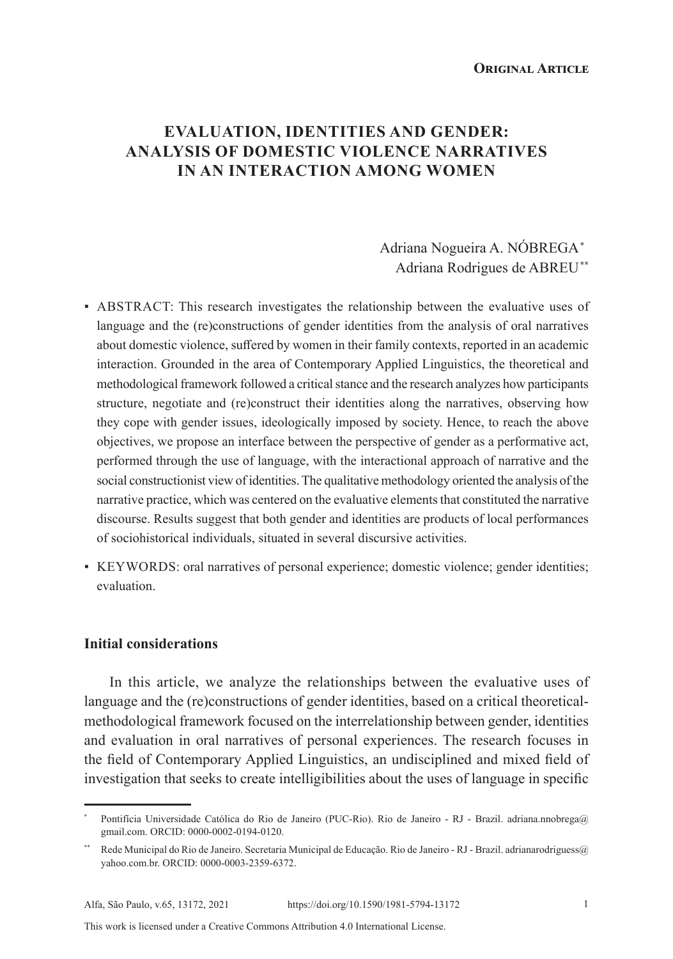**Original Article**

# **EVALUATION, IDENTITIES AND GENDER: ANALYSIS OF DOMESTIC VIOLENCE NARRATIVES IN AN INTERACTION AMONG WOMEN**

# Adriana Nogueira A. NÓBREGA\* Adriana Rodrigues de ABREU**\*\***

- ABSTRACT: This research investigates the relationship between the evaluative uses of language and the (re)constructions of gender identities from the analysis of oral narratives about domestic violence, suffered by women in their family contexts, reported in an academic interaction. Grounded in the area of Contemporary Applied Linguistics, the theoretical and methodological framework followed a critical stance and the research analyzes how participants structure, negotiate and (re)construct their identities along the narratives, observing how they cope with gender issues, ideologically imposed by society. Hence, to reach the above objectives, we propose an interface between the perspective of gender as a performative act, performed through the use of language, with the interactional approach of narrative and the social constructionist view of identities. The qualitative methodology oriented the analysis of the narrative practice, which was centered on the evaluative elements that constituted the narrative discourse. Results suggest that both gender and identities are products of local performances of sociohistorical individuals, situated in several discursive activities.
- KEYWORDS: oral narratives of personal experience; domestic violence; gender identities; evaluation.

#### **Initial considerations**

In this article, we analyze the relationships between the evaluative uses of language and the (re)constructions of gender identities, based on a critical theoreticalmethodological framework focused on the interrelationship between gender, identities and evaluation in oral narratives of personal experiences. The research focuses in the field of Contemporary Applied Linguistics, an undisciplined and mixed field of investigation that seeks to create intelligibilities about the uses of language in specific

This work is licensed under a Creative Commons Attribution 4.0 International License.

Pontifícia Universidade Católica do Rio de Janeiro (PUC-Rio). Rio de Janeiro - RJ - Brazil. adriana.nnobrega@ gmail.com. ORCID: 0000-0002-0194-0120.

<sup>\*\*</sup> Rede Municipal do Rio de Janeiro. Secretaria Municipal de Educação. Rio de Janeiro - RJ - Brazil. adrianarodriguess@ yahoo.com.br. ORCID: 0000-0003-2359-6372.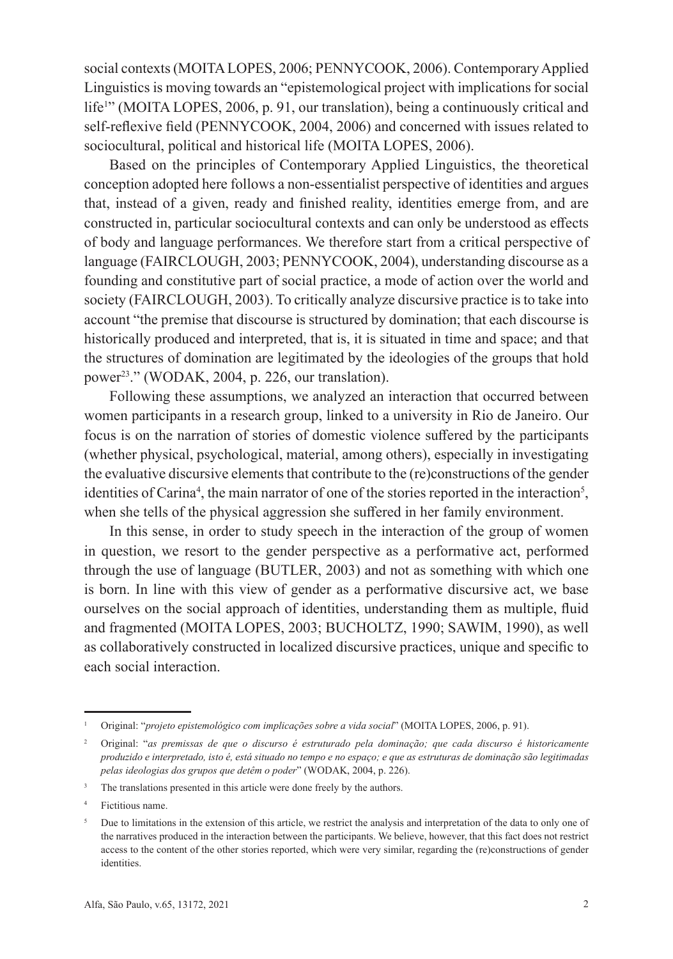social contexts (MOITA LOPES, 2006; PENNYCOOK, 2006). Contemporary Applied Linguistics is moving towards an "epistemological project with implications for social life<sup>1</sup>" (MOITA LOPES, 2006, p. 91, our translation), being a continuously critical and self-reflexive field (PENNYCOOK, 2004, 2006) and concerned with issues related to sociocultural, political and historical life (MOITA LOPES, 2006).

Based on the principles of Contemporary Applied Linguistics, the theoretical conception adopted here follows a non-essentialist perspective of identities and argues that, instead of a given, ready and finished reality, identities emerge from, and are constructed in, particular sociocultural contexts and can only be understood as effects of body and language performances. We therefore start from a critical perspective of language (FAIRCLOUGH, 2003; PENNYCOOK, 2004), understanding discourse as a founding and constitutive part of social practice, a mode of action over the world and society (FAIRCLOUGH, 2003). To critically analyze discursive practice is to take into account "the premise that discourse is structured by domination; that each discourse is historically produced and interpreted, that is, it is situated in time and space; and that the structures of domination are legitimated by the ideologies of the groups that hold power23 ." (WODAK, 2004, p. 226, our translation).

Following these assumptions, we analyzed an interaction that occurred between women participants in a research group, linked to a university in Rio de Janeiro. Our focus is on the narration of stories of domestic violence suffered by the participants (whether physical, psychological, material, among others), especially in investigating the evaluative discursive elements that contribute to the (re)constructions of the gender identities of Carina<sup>4</sup>, the main narrator of one of the stories reported in the interaction<sup>5</sup>, when she tells of the physical aggression she suffered in her family environment.

In this sense, in order to study speech in the interaction of the group of women in question, we resort to the gender perspective as a performative act, performed through the use of language (BUTLER, 2003) and not as something with which one is born. In line with this view of gender as a performative discursive act, we base ourselves on the social approach of identities, understanding them as multiple, fluid and fragmented (MOITA LOPES, 2003; BUCHOLTZ, 1990; SAWIM, 1990), as well as collaboratively constructed in localized discursive practices, unique and specific to each social interaction.

<sup>1</sup> Original: "*projeto epistemológico com implicações sobre a vida social*" (MOITA LOPES, 2006, p. 91).

<sup>2</sup> Original: "*as premissas de que o discurso é estruturado pela dominação; que cada discurso é historicamente produzido e interpretado, isto é, está situado no tempo e no espaço; e que as estruturas de dominação são legitimadas pelas ideologias dos grupos que detêm o poder*" (WODAK, 2004, p. 226).

<sup>&</sup>lt;sup>3</sup> The translations presented in this article were done freely by the authors.

<sup>4</sup> Fictitious name.

<sup>&</sup>lt;sup>5</sup> Due to limitations in the extension of this article, we restrict the analysis and interpretation of the data to only one of the narratives produced in the interaction between the participants. We believe, however, that this fact does not restrict access to the content of the other stories reported, which were very similar, regarding the (re)constructions of gender identities.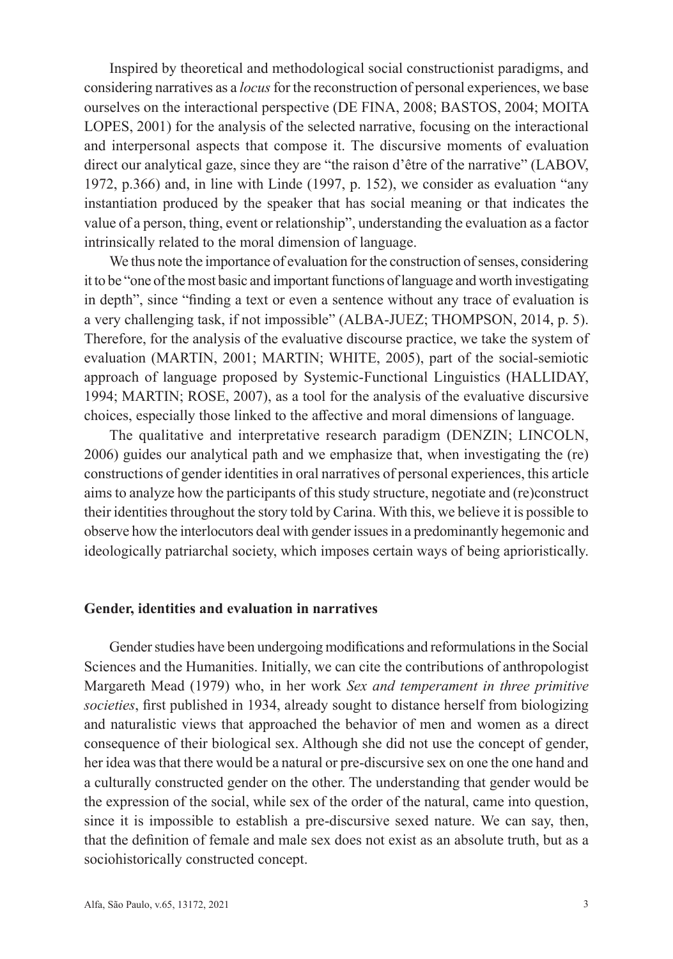Inspired by theoretical and methodological social constructionist paradigms, and considering narratives as a *locus* for the reconstruction of personal experiences, we base ourselves on the interactional perspective (DE FINA, 2008; BASTOS, 2004; MOITA LOPES, 2001) for the analysis of the selected narrative, focusing on the interactional and interpersonal aspects that compose it. The discursive moments of evaluation direct our analytical gaze, since they are "the raison d'être of the narrative" (LABOV, 1972, p.366) and, in line with Linde (1997, p. 152), we consider as evaluation "any instantiation produced by the speaker that has social meaning or that indicates the value of a person, thing, event or relationship", understanding the evaluation as a factor intrinsically related to the moral dimension of language.

We thus note the importance of evaluation for the construction of senses, considering it to be "one of the most basic and important functions of language and worth investigating in depth", since "finding a text or even a sentence without any trace of evaluation is a very challenging task, if not impossible" (ALBA-JUEZ; THOMPSON, 2014, p. 5). Therefore, for the analysis of the evaluative discourse practice, we take the system of evaluation (MARTIN, 2001; MARTIN; WHITE, 2005), part of the social-semiotic approach of language proposed by Systemic-Functional Linguistics (HALLIDAY, 1994; MARTIN; ROSE, 2007), as a tool for the analysis of the evaluative discursive choices, especially those linked to the affective and moral dimensions of language.

The qualitative and interpretative research paradigm (DENZIN; LINCOLN, 2006) guides our analytical path and we emphasize that, when investigating the (re) constructions of gender identities in oral narratives of personal experiences, this article aims to analyze how the participants of this study structure, negotiate and (re)construct their identities throughout the story told by Carina. With this, we believe it is possible to observe how the interlocutors deal with gender issues in a predominantly hegemonic and ideologically patriarchal society, which imposes certain ways of being aprioristically.

#### **Gender, identities and evaluation in narratives**

Gender studies have been undergoing modifications and reformulations in the Social Sciences and the Humanities. Initially, we can cite the contributions of anthropologist Margareth Mead (1979) who, in her work *Sex and temperament in three primitive societies*, first published in 1934, already sought to distance herself from biologizing and naturalistic views that approached the behavior of men and women as a direct consequence of their biological sex. Although she did not use the concept of gender, her idea was that there would be a natural or pre-discursive sex on one the one hand and a culturally constructed gender on the other. The understanding that gender would be the expression of the social, while sex of the order of the natural, came into question, since it is impossible to establish a pre-discursive sexed nature. We can say, then, that the definition of female and male sex does not exist as an absolute truth, but as a sociohistorically constructed concept.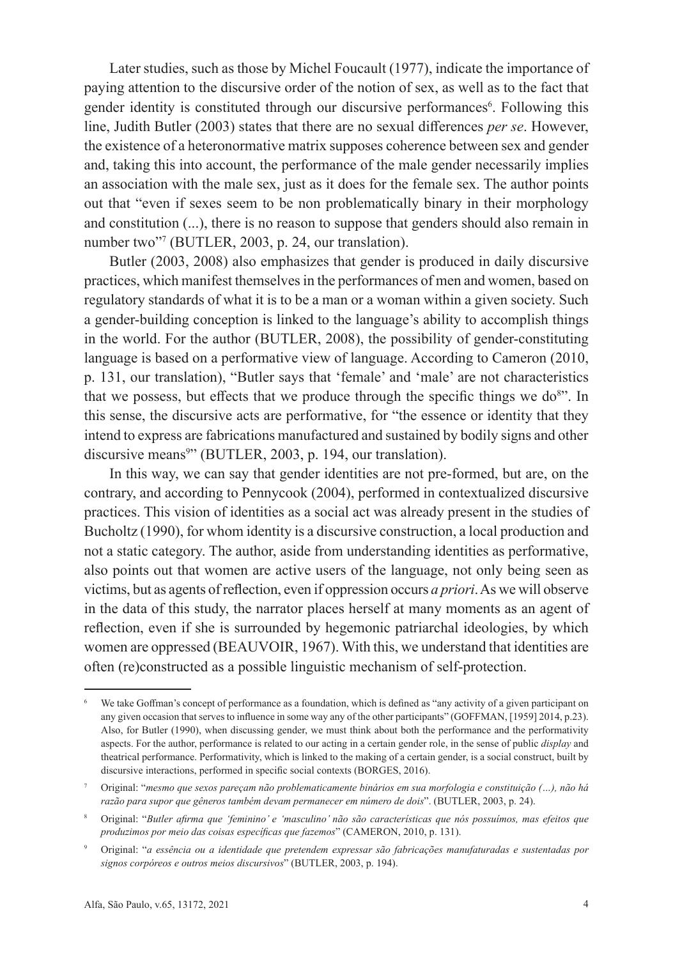Later studies, such as those by Michel Foucault (1977), indicate the importance of paying attention to the discursive order of the notion of sex, as well as to the fact that gender identity is constituted through our discursive performances<sup>6</sup>. Following this line, Judith Butler (2003) states that there are no sexual differences *per se*. However, the existence of a heteronormative matrix supposes coherence between sex and gender and, taking this into account, the performance of the male gender necessarily implies an association with the male sex, just as it does for the female sex. The author points out that "even if sexes seem to be non problematically binary in their morphology and constitution (...), there is no reason to suppose that genders should also remain in number two"7 (BUTLER, 2003, p. 24, our translation).

Butler (2003, 2008) also emphasizes that gender is produced in daily discursive practices, which manifest themselves in the performances of men and women, based on regulatory standards of what it is to be a man or a woman within a given society. Such a gender-building conception is linked to the language's ability to accomplish things in the world. For the author (BUTLER, 2008), the possibility of gender-constituting language is based on a performative view of language. According to Cameron (2010, p. 131, our translation), "Butler says that 'female' and 'male' are not characteristics that we possess, but effects that we produce through the specific things we do<sup>8</sup>". In this sense, the discursive acts are performative, for "the essence or identity that they intend to express are fabrications manufactured and sustained by bodily signs and other discursive means9 " (BUTLER, 2003, p. 194, our translation).

In this way, we can say that gender identities are not pre-formed, but are, on the contrary, and according to Pennycook (2004), performed in contextualized discursive practices. This vision of identities as a social act was already present in the studies of Bucholtz (1990), for whom identity is a discursive construction, a local production and not a static category. The author, aside from understanding identities as performative, also points out that women are active users of the language, not only being seen as victims, but as agents of reflection, even if oppression occurs *a priori*. As we will observe in the data of this study, the narrator places herself at many moments as an agent of reflection, even if she is surrounded by hegemonic patriarchal ideologies, by which women are oppressed (BEAUVOIR, 1967). With this, we understand that identities are often (re)constructed as a possible linguistic mechanism of self-protection.

We take Goffman's concept of performance as a foundation, which is defined as "any activity of a given participant on any given occasion that serves to influence in some way any of the other participants" (GOFFMAN, [1959] 2014, p.23). Also, for Butler (1990), when discussing gender, we must think about both the performance and the performativity aspects. For the author, performance is related to our acting in a certain gender role, in the sense of public *display* and theatrical performance. Performativity, which is linked to the making of a certain gender, is a social construct, built by discursive interactions, performed in specific social contexts (BORGES, 2016).

<sup>7</sup> Original: "*mesmo que sexos pareçam não problematicamente binários em sua morfologia e constituição (…), não há razão para supor que gêneros também devam permanecer em número de dois*". (BUTLER, 2003, p. 24).

<sup>8</sup> Original: "*Butler afirma que 'feminino' e 'masculino' não são características que nós possuímos, mas efeitos que produzimos por meio das coisas específicas que fazemos*" (CAMERON, 2010, p. 131).

<sup>9</sup> Original: "*a essência ou a identidade que pretendem expressar são fabricações manufaturadas e sustentadas por signos corpóreos e outros meios discursivos*" (BUTLER, 2003, p. 194).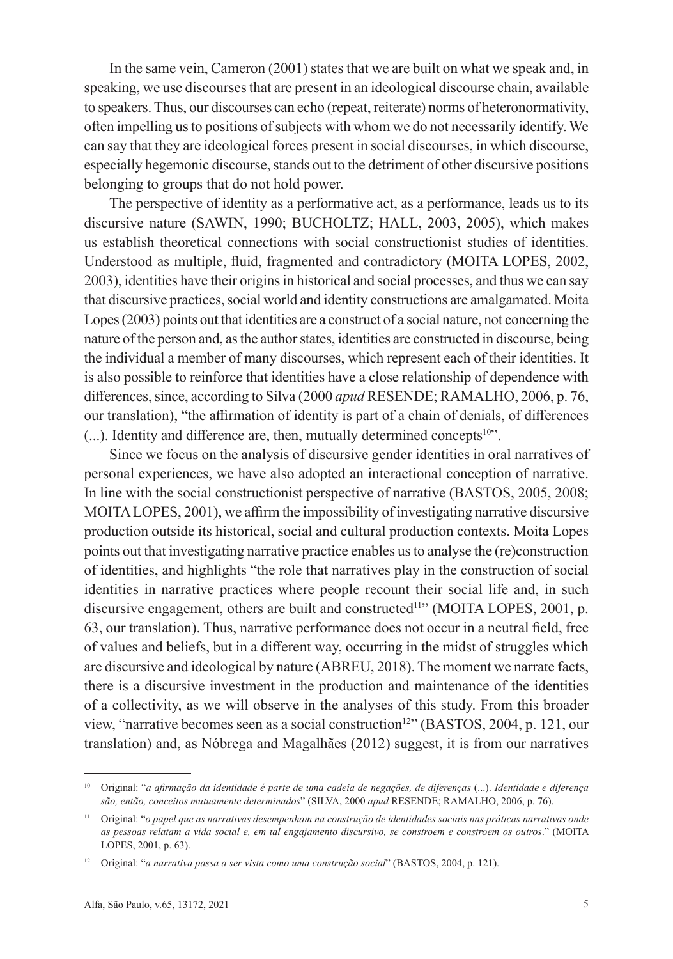In the same vein, Cameron (2001) states that we are built on what we speak and, in speaking, we use discourses that are present in an ideological discourse chain, available to speakers. Thus, our discourses can echo (repeat, reiterate) norms of heteronormativity, often impelling us to positions of subjects with whom we do not necessarily identify. We can say that they are ideological forces present in social discourses, in which discourse, especially hegemonic discourse, stands out to the detriment of other discursive positions belonging to groups that do not hold power.

The perspective of identity as a performative act, as a performance, leads us to its discursive nature (SAWIN, 1990; BUCHOLTZ; HALL, 2003, 2005), which makes us establish theoretical connections with social constructionist studies of identities. Understood as multiple, fluid, fragmented and contradictory (MOITA LOPES, 2002, 2003), identities have their origins in historical and social processes, and thus we can say that discursive practices, social world and identity constructions are amalgamated. Moita Lopes (2003) points out that identities are a construct of a social nature, not concerning the nature of the person and, as the author states, identities are constructed in discourse, being the individual a member of many discourses, which represent each of their identities. It is also possible to reinforce that identities have a close relationship of dependence with differences, since, according to Silva (2000 *apud* RESENDE; RAMALHO, 2006, p. 76, our translation), "the affirmation of identity is part of a chain of denials, of differences (...). Identity and difference are, then, mutually determined concepts<sup>10"</sup>.

Since we focus on the analysis of discursive gender identities in oral narratives of personal experiences, we have also adopted an interactional conception of narrative. In line with the social constructionist perspective of narrative (BASTOS, 2005, 2008; MOITA LOPES, 2001), we affirm the impossibility of investigating narrative discursive production outside its historical, social and cultural production contexts. Moita Lopes points out that investigating narrative practice enables us to analyse the (re)construction of identities, and highlights "the role that narratives play in the construction of social identities in narrative practices where people recount their social life and, in such discursive engagement, others are built and constructed<sup>11</sup>" (MOITA LOPES, 2001, p. 63, our translation). Thus, narrative performance does not occur in a neutral field, free of values and beliefs, but in a different way, occurring in the midst of struggles which are discursive and ideological by nature (ABREU, 2018). The moment we narrate facts, there is a discursive investment in the production and maintenance of the identities of a collectivity, as we will observe in the analyses of this study. From this broader view, "narrative becomes seen as a social construction<sup>12</sup>" (BASTOS, 2004, p. 121, our translation) and, as Nóbrega and Magalhães (2012) suggest, it is from our narratives

<sup>10</sup> Original: "*a afirmação da identidade é parte de uma cadeia de negações, de diferenças* (...). *Identidade e diferença são, então, conceitos mutuamente determinados*" (SILVA, 2000 *apud* RESENDE; RAMALHO, 2006, p. 76).

<sup>11</sup> Original: "*o papel que as narrativas desempenham na construção de identidades sociais nas práticas narrativas onde as pessoas relatam a vida social e, em tal engajamento discursivo, se constroem e constroem os outros*." (MOITA LOPES, 2001, p. 63).

<sup>12</sup> Original: "*a narrativa passa a ser vista como uma construção social*" (BASTOS, 2004, p. 121).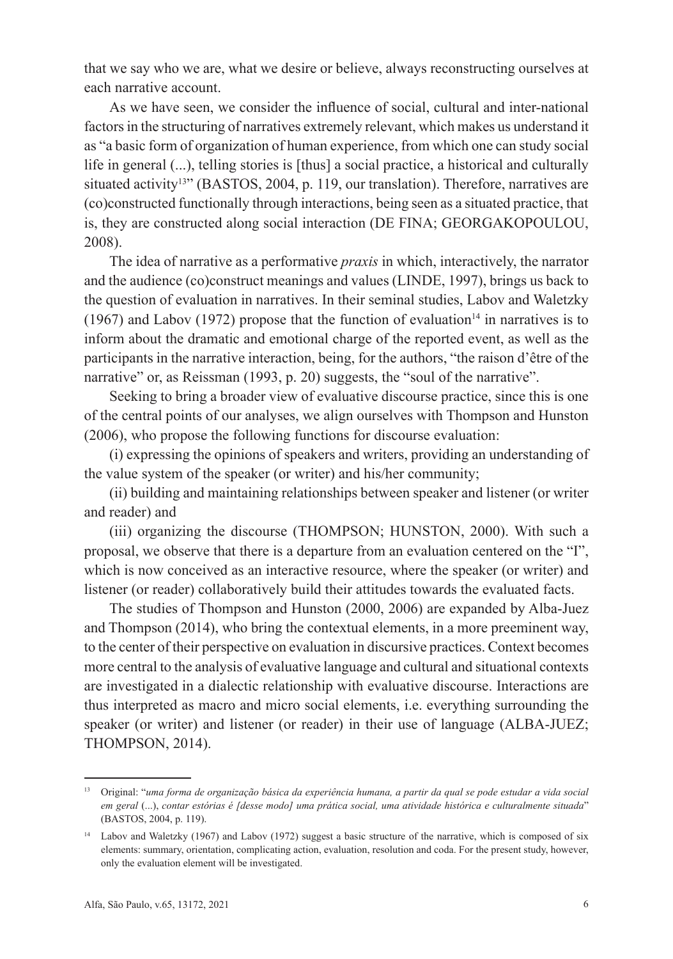that we say who we are, what we desire or believe, always reconstructing ourselves at each narrative account.

As we have seen, we consider the influence of social, cultural and inter-national factors in the structuring of narratives extremely relevant, which makes us understand it as "a basic form of organization of human experience, from which one can study social life in general (...), telling stories is [thus] a social practice, a historical and culturally situated activity<sup>13</sup><sup>3</sup> (BASTOS, 2004, p. 119, our translation). Therefore, narratives are (co)constructed functionally through interactions, being seen as a situated practice, that is, they are constructed along social interaction (DE FINA; GEORGAKOPOULOU, 2008).

The idea of narrative as a performative *praxis* in which, interactively, the narrator and the audience (co)construct meanings and values (LINDE, 1997), brings us back to the question of evaluation in narratives. In their seminal studies, Labov and Waletzky (1967) and Labov (1972) propose that the function of evaluation<sup>14</sup> in narratives is to inform about the dramatic and emotional charge of the reported event, as well as the participants in the narrative interaction, being, for the authors, "the raison d'être of the narrative" or, as Reissman (1993, p. 20) suggests, the "soul of the narrative".

Seeking to bring a broader view of evaluative discourse practice, since this is one of the central points of our analyses, we align ourselves with Thompson and Hunston (2006), who propose the following functions for discourse evaluation:

(i) expressing the opinions of speakers and writers, providing an understanding of the value system of the speaker (or writer) and his/her community;

(ii) building and maintaining relationships between speaker and listener (or writer and reader) and

(iii) organizing the discourse (THOMPSON; HUNSTON, 2000). With such a proposal, we observe that there is a departure from an evaluation centered on the "I", which is now conceived as an interactive resource, where the speaker (or writer) and listener (or reader) collaboratively build their attitudes towards the evaluated facts.

The studies of Thompson and Hunston (2000, 2006) are expanded by Alba-Juez and Thompson (2014), who bring the contextual elements, in a more preeminent way, to the center of their perspective on evaluation in discursive practices. Context becomes more central to the analysis of evaluative language and cultural and situational contexts are investigated in a dialectic relationship with evaluative discourse. Interactions are thus interpreted as macro and micro social elements, i.e. everything surrounding the speaker (or writer) and listener (or reader) in their use of language (ALBA-JUEZ; THOMPSON, 2014).

<sup>13</sup> Original: "*uma forma de organização básica da experiência humana, a partir da qual se pode estudar a vida social em geral* (...), *contar estórias é [desse modo] uma prática social, uma atividade histórica e culturalmente situada*" (BASTOS, 2004, p. 119).

<sup>&</sup>lt;sup>14</sup> Labov and Waletzky (1967) and Labov (1972) suggest a basic structure of the narrative, which is composed of six elements: summary, orientation, complicating action, evaluation, resolution and coda. For the present study, however, only the evaluation element will be investigated.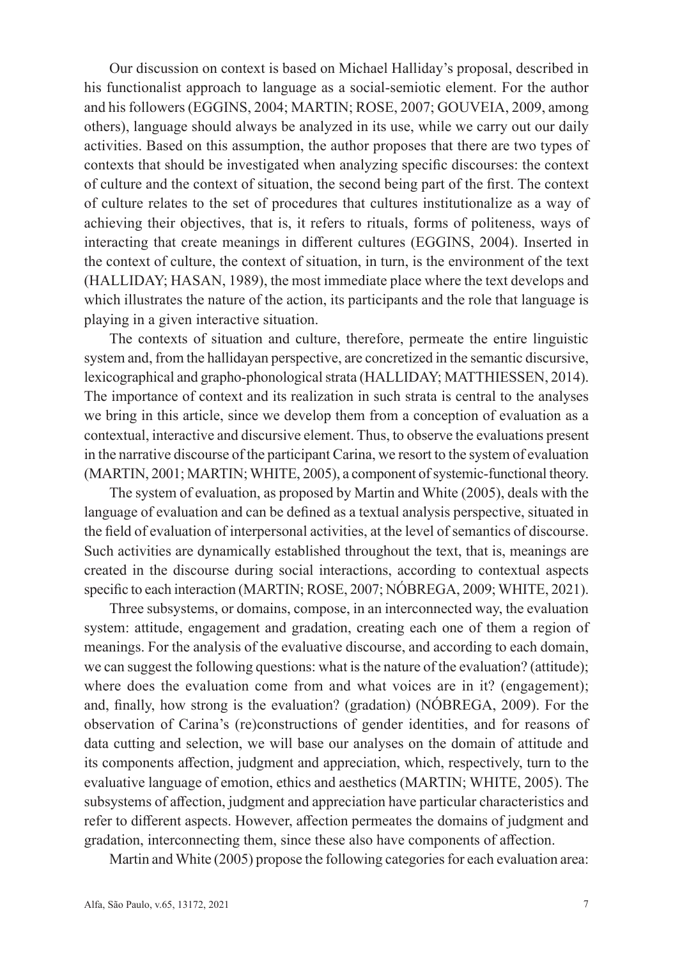Our discussion on context is based on Michael Halliday's proposal, described in his functionalist approach to language as a social-semiotic element. For the author and his followers (EGGINS, 2004; MARTIN; ROSE, 2007; GOUVEIA, 2009, among others), language should always be analyzed in its use, while we carry out our daily activities. Based on this assumption, the author proposes that there are two types of contexts that should be investigated when analyzing specific discourses: the context of culture and the context of situation, the second being part of the first. The context of culture relates to the set of procedures that cultures institutionalize as a way of achieving their objectives, that is, it refers to rituals, forms of politeness, ways of interacting that create meanings in different cultures (EGGINS, 2004). Inserted in the context of culture, the context of situation, in turn, is the environment of the text (HALLIDAY; HASAN, 1989), the most immediate place where the text develops and which illustrates the nature of the action, its participants and the role that language is playing in a given interactive situation.

The contexts of situation and culture, therefore, permeate the entire linguistic system and, from the hallidayan perspective, are concretized in the semantic discursive, lexicographical and grapho-phonological strata (HALLIDAY; MATTHIESSEN, 2014). The importance of context and its realization in such strata is central to the analyses we bring in this article, since we develop them from a conception of evaluation as a contextual, interactive and discursive element. Thus, to observe the evaluations present in the narrative discourse of the participant Carina, we resort to the system of evaluation (MARTIN, 2001; MARTIN; WHITE, 2005), a component of systemic-functional theory.

The system of evaluation, as proposed by Martin and White (2005), deals with the language of evaluation and can be defined as a textual analysis perspective, situated in the field of evaluation of interpersonal activities, at the level of semantics of discourse. Such activities are dynamically established throughout the text, that is, meanings are created in the discourse during social interactions, according to contextual aspects specific to each interaction (MARTIN; ROSE, 2007; NÓBREGA, 2009; WHITE, 2021).

Three subsystems, or domains, compose, in an interconnected way, the evaluation system: attitude, engagement and gradation, creating each one of them a region of meanings. For the analysis of the evaluative discourse, and according to each domain, we can suggest the following questions: what is the nature of the evaluation? (attitude); where does the evaluation come from and what voices are in it? (engagement); and, finally, how strong is the evaluation? (gradation) (NÓBREGA, 2009). For the observation of Carina's (re)constructions of gender identities, and for reasons of data cutting and selection, we will base our analyses on the domain of attitude and its components affection, judgment and appreciation, which, respectively, turn to the evaluative language of emotion, ethics and aesthetics (MARTIN; WHITE, 2005). The subsystems of affection, judgment and appreciation have particular characteristics and refer to different aspects. However, affection permeates the domains of judgment and gradation, interconnecting them, since these also have components of affection.

Martin and White (2005) propose the following categories for each evaluation area: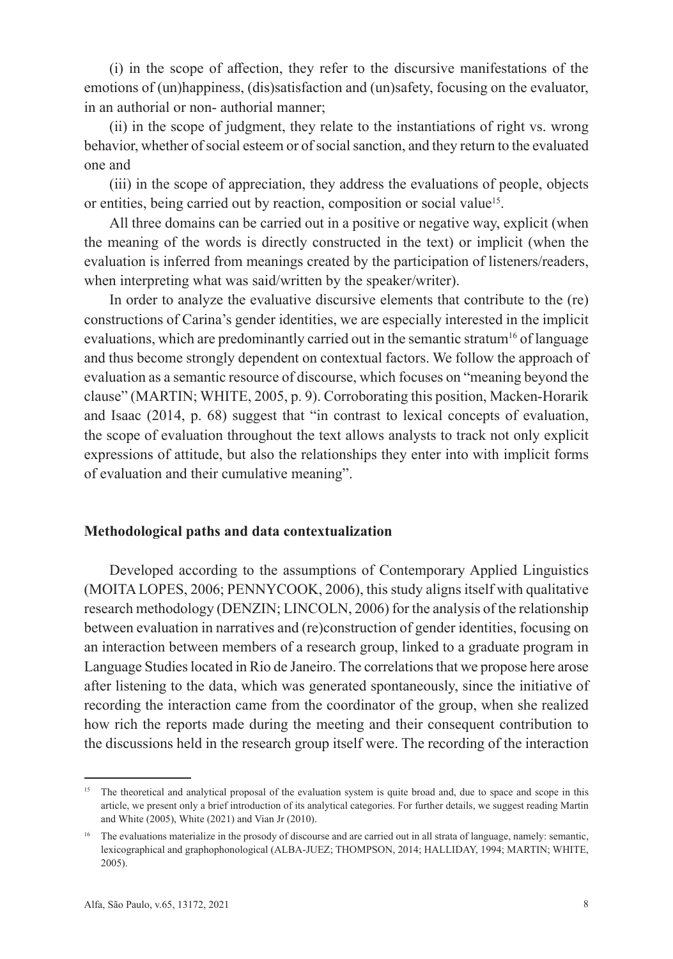(i) in the scope of affection, they refer to the discursive manifestations of the emotions of (un)happiness, (dis)satisfaction and (un)safety, focusing on the evaluator, in an authorial or non- authorial manner;

(ii) in the scope of judgment, they relate to the instantiations of right vs. wrong behavior, whether of social esteem or of social sanction, and they return to the evaluated one and

(iii) in the scope of appreciation, they address the evaluations of people, objects or entities, being carried out by reaction, composition or social value<sup>15</sup>.

All three domains can be carried out in a positive or negative way, explicit (when the meaning of the words is directly constructed in the text) or implicit (when the evaluation is inferred from meanings created by the participation of listeners/readers, when interpreting what was said/written by the speaker/writer).

In order to analyze the evaluative discursive elements that contribute to the (re) constructions of Carina's gender identities, we are especially interested in the implicit evaluations, which are predominantly carried out in the semantic stratum<sup>16</sup> of language and thus become strongly dependent on contextual factors. We follow the approach of evaluation as a semantic resource of discourse, which focuses on "meaning beyond the clause" (MARTIN; WHITE, 2005, p. 9). Corroborating this position, Macken-Horarik and Isaac (2014, p. 68) suggest that "in contrast to lexical concepts of evaluation, the scope of evaluation throughout the text allows analysts to track not only explicit expressions of attitude, but also the relationships they enter into with implicit forms of evaluation and their cumulative meaning".

### **Methodological paths and data contextualization**

Developed according to the assumptions of Contemporary Applied Linguistics (MOITA LOPES, 2006; PENNYCOOK, 2006), this study aligns itself with qualitative research methodology (DENZIN; LINCOLN, 2006) for the analysis of the relationship between evaluation in narratives and (re)construction of gender identities, focusing on an interaction between members of a research group, linked to a graduate program in Language Studies located in Rio de Janeiro. The correlations that we propose here arose after listening to the data, which was generated spontaneously, since the initiative of recording the interaction came from the coordinator of the group, when she realized how rich the reports made during the meeting and their consequent contribution to the discussions held in the research group itself were. The recording of the interaction

<sup>&</sup>lt;sup>15</sup> The theoretical and analytical proposal of the evaluation system is quite broad and, due to space and scope in this article, we present only a brief introduction of its analytical categories. For further details, we suggest reading Martin and White (2005), White (2021) and Vian Jr (2010).

<sup>&</sup>lt;sup>16</sup> The evaluations materialize in the prosody of discourse and are carried out in all strata of language, namely: semantic, lexicographical and graphophonological (ALBA-JUEZ; THOMPSON, 2014; HALLIDAY, 1994; MARTIN; WHITE, 2005).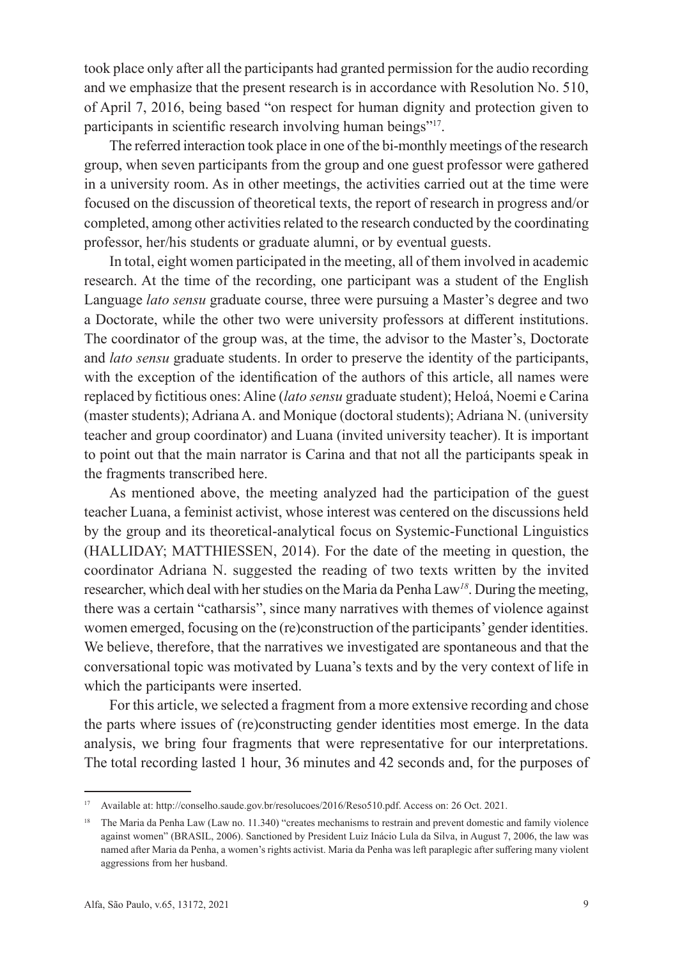took place only after all the participants had granted permission for the audio recording and we emphasize that the present research is in accordance with Resolution No. 510, of April 7, 2016, being based "on respect for human dignity and protection given to participants in scientific research involving human beings"<sup>17</sup>.

The referred interaction took place in one of the bi-monthly meetings of the research group, when seven participants from the group and one guest professor were gathered in a university room. As in other meetings, the activities carried out at the time were focused on the discussion of theoretical texts, the report of research in progress and/or completed, among other activities related to the research conducted by the coordinating professor, her/his students or graduate alumni, or by eventual guests.

In total, eight women participated in the meeting, all of them involved in academic research. At the time of the recording, one participant was a student of the English Language *lato sensu* graduate course, three were pursuing a Master's degree and two a Doctorate, while the other two were university professors at different institutions. The coordinator of the group was, at the time, the advisor to the Master's, Doctorate and *lato sensu* graduate students. In order to preserve the identity of the participants, with the exception of the identification of the authors of this article, all names were replaced by fictitious ones: Aline (*lato sensu* graduate student); Heloá, Noemi e Carina (master students); Adriana A. and Monique (doctoral students); Adriana N. (university teacher and group coordinator) and Luana (invited university teacher). It is important to point out that the main narrator is Carina and that not all the participants speak in the fragments transcribed here.

As mentioned above, the meeting analyzed had the participation of the guest teacher Luana, a feminist activist, whose interest was centered on the discussions held by the group and its theoretical-analytical focus on Systemic-Functional Linguistics (HALLIDAY; MATTHIESSEN, 2014). For the date of the meeting in question, the coordinator Adriana N. suggested the reading of two texts written by the invited researcher, which deal with her studies on the Maria da Penha Law*<sup>18</sup>*. During the meeting, there was a certain "catharsis", since many narratives with themes of violence against women emerged, focusing on the (re)construction of the participants' gender identities. We believe, therefore, that the narratives we investigated are spontaneous and that the conversational topic was motivated by Luana's texts and by the very context of life in which the participants were inserted.

For this article, we selected a fragment from a more extensive recording and chose the parts where issues of (re)constructing gender identities most emerge. In the data analysis, we bring four fragments that were representative for our interpretations. The total recording lasted 1 hour, 36 minutes and 42 seconds and, for the purposes of

<sup>17</sup> Available at: http://conselho.saude.gov.br/resolucoes/2016/Reso510.pdf. Access on: 26 Oct. 2021.

<sup>&</sup>lt;sup>18</sup> The Maria da Penha Law (Law no. 11.340) "creates mechanisms to restrain and prevent domestic and family violence against women" (BRASIL, 2006). Sanctioned by President Luiz Inácio Lula da Silva, in August 7, 2006, the law was named after Maria da Penha, a women's rights activist. Maria da Penha was left paraplegic after suffering many violent aggressions from her husband.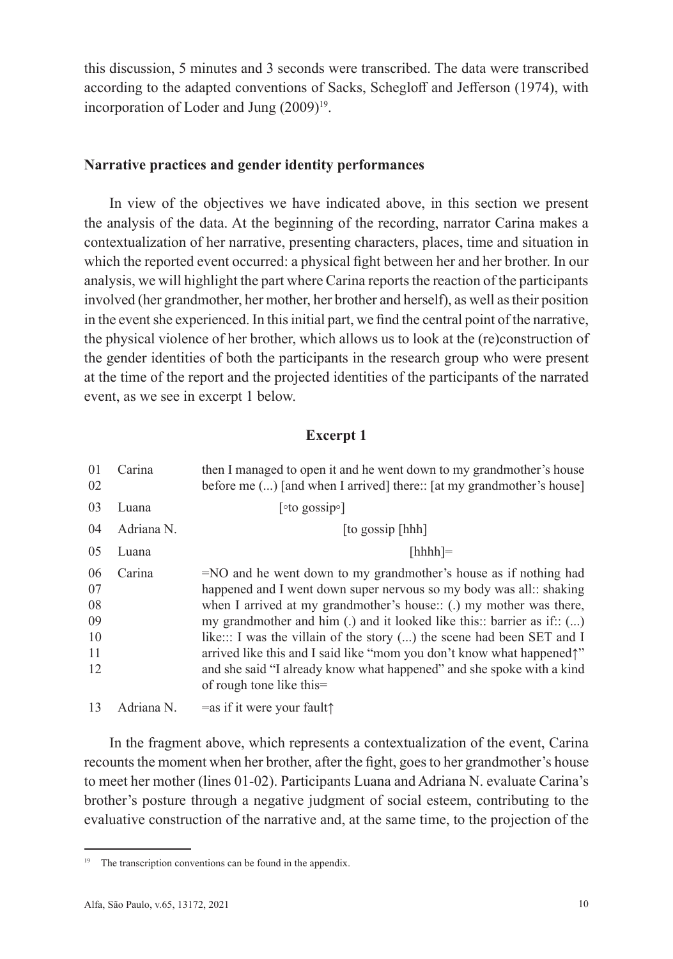this discussion, 5 minutes and 3 seconds were transcribed. The data were transcribed according to the adapted conventions of Sacks, Schegloff and Jefferson (1974), with incorporation of Loder and Jung  $(2009)^{19}$ .

### **Narrative practices and gender identity performances**

In view of the objectives we have indicated above, in this section we present the analysis of the data. At the beginning of the recording, narrator Carina makes a contextualization of her narrative, presenting characters, places, time and situation in which the reported event occurred: a physical fight between her and her brother. In our analysis, we will highlight the part where Carina reports the reaction of the participants involved (her grandmother, her mother, her brother and herself), as well as their position in the event she experienced. In this initial part, we find the central point of the narrative, the physical violence of her brother, which allows us to look at the (re)construction of the gender identities of both the participants in the research group who were present at the time of the report and the projected identities of the participants of the narrated event, as we see in excerpt 1 below.

## **Excerpt 1**

| 0 <sub>1</sub><br>02                   | Carina     | then I managed to open it and he went down to my grand mother's house<br>before me () [and when I arrived] there:: [at my grandmother's house]                                                                                                                                                                                                                                                                                                                                                                                                    |  |
|----------------------------------------|------------|---------------------------------------------------------------------------------------------------------------------------------------------------------------------------------------------------------------------------------------------------------------------------------------------------------------------------------------------------------------------------------------------------------------------------------------------------------------------------------------------------------------------------------------------------|--|
| 03                                     | Luana      | [ $\circ$ to gossip $\circ$ ]                                                                                                                                                                                                                                                                                                                                                                                                                                                                                                                     |  |
| 04                                     | Adriana N. | [to gossip [hhh]                                                                                                                                                                                                                                                                                                                                                                                                                                                                                                                                  |  |
| 05                                     | Luana      | $[hhh]=$                                                                                                                                                                                                                                                                                                                                                                                                                                                                                                                                          |  |
| 06<br>07<br>08<br>09<br>10<br>11<br>12 | Carina     | =NO and he went down to my grandmother's house as if nothing had<br>happened and I went down super nervous so my body was all: shaking<br>when I arrived at my grandmother's house:: (.) my mother was there,<br>my grandmother and him $(.)$ and it looked like this:: barrier as if:: $()$<br>like: I was the villain of the story () the scene had been SET and I<br>arrived like this and I said like "mom you don't know what happened"<br>and she said "I already know what happened" and she spoke with a kind<br>of rough tone like this= |  |
| 13                                     | Adriana N. | $=$ as if it were your fault $\uparrow$                                                                                                                                                                                                                                                                                                                                                                                                                                                                                                           |  |

In the fragment above, which represents a contextualization of the event, Carina recounts the moment when her brother, after the fight, goes to her grandmother's house to meet her mother (lines 01-02). Participants Luana and Adriana N. evaluate Carina's brother's posture through a negative judgment of social esteem, contributing to the evaluative construction of the narrative and, at the same time, to the projection of the

<sup>&</sup>lt;sup>19</sup> The transcription conventions can be found in the appendix.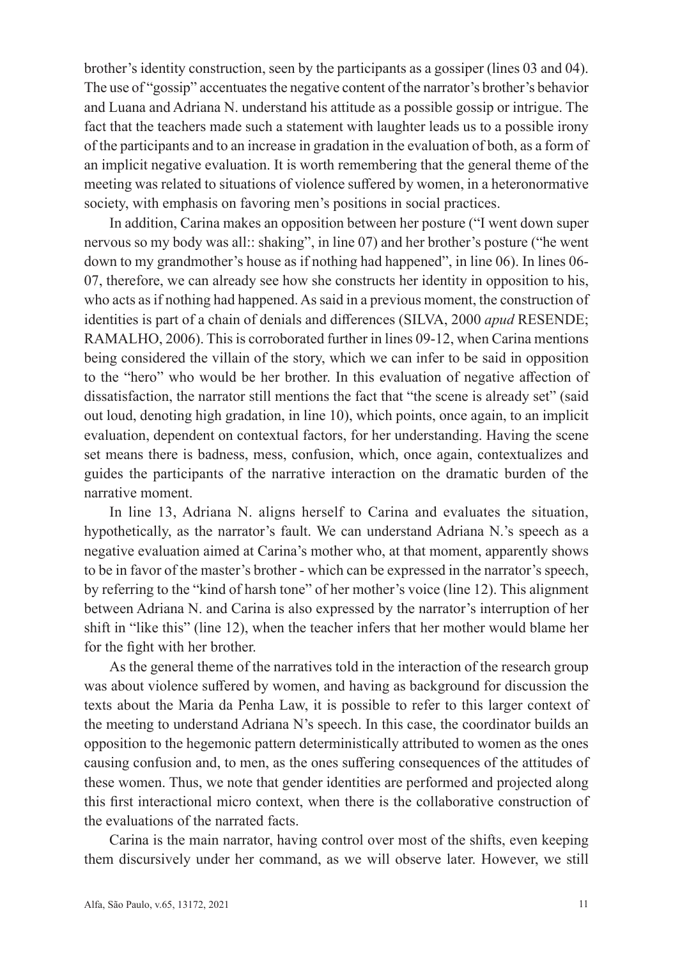brother's identity construction, seen by the participants as a gossiper (lines 03 and 04). The use of "gossip" accentuates the negative content of the narrator's brother's behavior and Luana and Adriana N. understand his attitude as a possible gossip or intrigue. The fact that the teachers made such a statement with laughter leads us to a possible irony of the participants and to an increase in gradation in the evaluation of both, as a form of an implicit negative evaluation. It is worth remembering that the general theme of the meeting was related to situations of violence suffered by women, in a heteronormative society, with emphasis on favoring men's positions in social practices.

In addition, Carina makes an opposition between her posture ("I went down super nervous so my body was all:: shaking", in line 07) and her brother's posture ("he went down to my grandmother's house as if nothing had happened", in line 06). In lines 06- 07, therefore, we can already see how she constructs her identity in opposition to his, who acts as if nothing had happened. As said in a previous moment, the construction of identities is part of a chain of denials and differences (SILVA, 2000 *apud* RESENDE; RAMALHO, 2006). This is corroborated further in lines 09-12, when Carina mentions being considered the villain of the story, which we can infer to be said in opposition to the "hero" who would be her brother. In this evaluation of negative affection of dissatisfaction, the narrator still mentions the fact that "the scene is already set" (said out loud, denoting high gradation, in line 10), which points, once again, to an implicit evaluation, dependent on contextual factors, for her understanding. Having the scene set means there is badness, mess, confusion, which, once again, contextualizes and guides the participants of the narrative interaction on the dramatic burden of the narrative moment.

In line 13, Adriana N. aligns herself to Carina and evaluates the situation, hypothetically, as the narrator's fault. We can understand Adriana N.'s speech as a negative evaluation aimed at Carina's mother who, at that moment, apparently shows to be in favor of the master's brother - which can be expressed in the narrator's speech, by referring to the "kind of harsh tone" of her mother's voice (line 12). This alignment between Adriana N. and Carina is also expressed by the narrator's interruption of her shift in "like this" (line 12), when the teacher infers that her mother would blame her for the fight with her brother.

As the general theme of the narratives told in the interaction of the research group was about violence suffered by women, and having as background for discussion the texts about the Maria da Penha Law, it is possible to refer to this larger context of the meeting to understand Adriana N's speech. In this case, the coordinator builds an opposition to the hegemonic pattern deterministically attributed to women as the ones causing confusion and, to men, as the ones suffering consequences of the attitudes of these women. Thus, we note that gender identities are performed and projected along this first interactional micro context, when there is the collaborative construction of the evaluations of the narrated facts.

Carina is the main narrator, having control over most of the shifts, even keeping them discursively under her command, as we will observe later. However, we still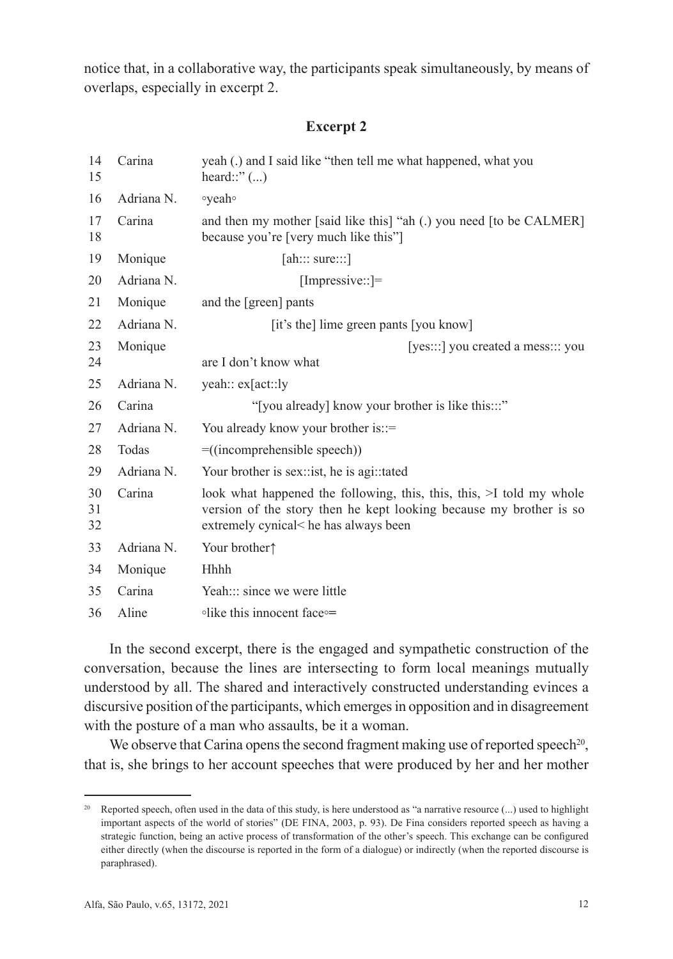notice that, in a collaborative way, the participants speak simultaneously, by means of overlaps, especially in excerpt 2.

## **Excerpt 2**

| 14<br>15       | Carina     | yeah (.) and I said like "then tell me what happened, what you<br>heard::" $\ldots$ )                                                                                              |  |  |
|----------------|------------|------------------------------------------------------------------------------------------------------------------------------------------------------------------------------------|--|--|
| 16             | Adriana N. | ∘yeah∘                                                                                                                                                                             |  |  |
| 17<br>18       | Carina     | and then my mother [said like this] "ah (.) you need [to be CALMER]<br>because you're [very much like this"]                                                                       |  |  |
| 19             | Monique    | [ah::: sure::]                                                                                                                                                                     |  |  |
| 20             | Adriana N. | [Impressive::]=                                                                                                                                                                    |  |  |
| 21             | Monique    | and the [green] pants                                                                                                                                                              |  |  |
| 22             | Adriana N. | [it's the] lime green pants [you know]                                                                                                                                             |  |  |
| 23<br>24       | Monique    | [yes:::] you created a mess::: you<br>are I don't know what                                                                                                                        |  |  |
| 25             | Adriana N. | yeah:: ex[act::ly                                                                                                                                                                  |  |  |
| 26             | Carina     | "[you already] know your brother is like this:::"                                                                                                                                  |  |  |
| 27             | Adriana N. | You already know your brother is::=                                                                                                                                                |  |  |
| 28             | Todas      | $=$ ((incomprehensible speech))                                                                                                                                                    |  |  |
| 29             | Adriana N. | Your brother is sex: ist, he is agi: tated                                                                                                                                         |  |  |
| 30<br>31<br>32 | Carina     | look what happened the following, this, this, $\ge$ I told my whole<br>version of the story then he kept looking because my brother is so<br>extremely cynical< he has always been |  |  |
| 33             | Adriana N. | Your brother <sup><math>\uparrow</math></sup>                                                                                                                                      |  |  |
| 34             | Monique    | Hhhh                                                                                                                                                                               |  |  |
| 35             | Carina     | Yeah::: since we were little                                                                                                                                                       |  |  |
| 36             | Aline      | •like this innocent face•                                                                                                                                                          |  |  |

In the second excerpt, there is the engaged and sympathetic construction of the conversation, because the lines are intersecting to form local meanings mutually understood by all. The shared and interactively constructed understanding evinces a discursive position of the participants, which emerges in opposition and in disagreement with the posture of a man who assaults, be it a woman.

We observe that Carina opens the second fragment making use of reported speech<sup>20</sup>, that is, she brings to her account speeches that were produced by her and her mother

<sup>&</sup>lt;sup>20</sup> Reported speech, often used in the data of this study, is here understood as "a narrative resource  $(...)$  used to highlight important aspects of the world of stories" (DE FINA, 2003, p. 93). De Fina considers reported speech as having a strategic function, being an active process of transformation of the other's speech. This exchange can be configured either directly (when the discourse is reported in the form of a dialogue) or indirectly (when the reported discourse is paraphrased).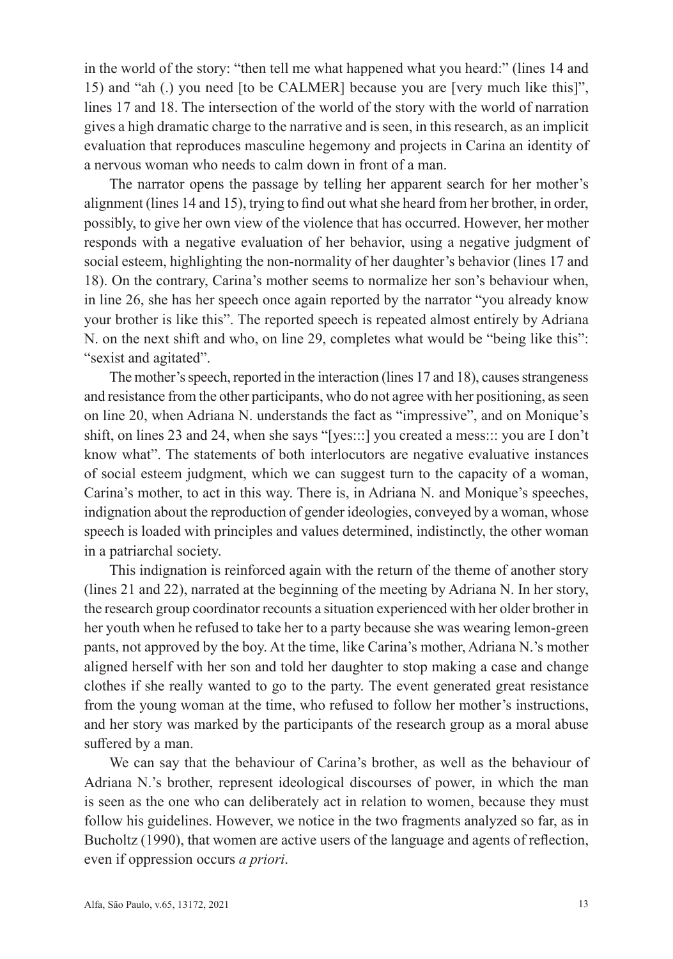in the world of the story: "then tell me what happened what you heard:" (lines 14 and 15) and "ah (.) you need [to be CALMER] because you are [very much like this]", lines 17 and 18. The intersection of the world of the story with the world of narration gives a high dramatic charge to the narrative and is seen, in this research, as an implicit evaluation that reproduces masculine hegemony and projects in Carina an identity of a nervous woman who needs to calm down in front of a man.

The narrator opens the passage by telling her apparent search for her mother's alignment (lines 14 and 15), trying to find out what she heard from her brother, in order, possibly, to give her own view of the violence that has occurred. However, her mother responds with a negative evaluation of her behavior, using a negative judgment of social esteem, highlighting the non-normality of her daughter's behavior (lines 17 and 18). On the contrary, Carina's mother seems to normalize her son's behaviour when, in line 26, she has her speech once again reported by the narrator "you already know your brother is like this". The reported speech is repeated almost entirely by Adriana N. on the next shift and who, on line 29, completes what would be "being like this": "sexist and agitated".

The mother's speech, reported in the interaction (lines 17 and 18), causes strangeness and resistance from the other participants, who do not agree with her positioning, as seen on line 20, when Adriana N. understands the fact as "impressive", and on Monique's shift, on lines 23 and 24, when she says "[yes:::] you created a mess::: you are I don't know what". The statements of both interlocutors are negative evaluative instances of social esteem judgment, which we can suggest turn to the capacity of a woman, Carina's mother, to act in this way. There is, in Adriana N. and Monique's speeches, indignation about the reproduction of gender ideologies, conveyed by a woman, whose speech is loaded with principles and values determined, indistinctly, the other woman in a patriarchal society.

This indignation is reinforced again with the return of the theme of another story (lines 21 and 22), narrated at the beginning of the meeting by Adriana N. In her story, the research group coordinator recounts a situation experienced with her older brother in her youth when he refused to take her to a party because she was wearing lemon-green pants, not approved by the boy. At the time, like Carina's mother, Adriana N.'s mother aligned herself with her son and told her daughter to stop making a case and change clothes if she really wanted to go to the party. The event generated great resistance from the young woman at the time, who refused to follow her mother's instructions, and her story was marked by the participants of the research group as a moral abuse suffered by a man.

We can say that the behaviour of Carina's brother, as well as the behaviour of Adriana N.'s brother, represent ideological discourses of power, in which the man is seen as the one who can deliberately act in relation to women, because they must follow his guidelines. However, we notice in the two fragments analyzed so far, as in Bucholtz (1990), that women are active users of the language and agents of reflection, even if oppression occurs *a priori*.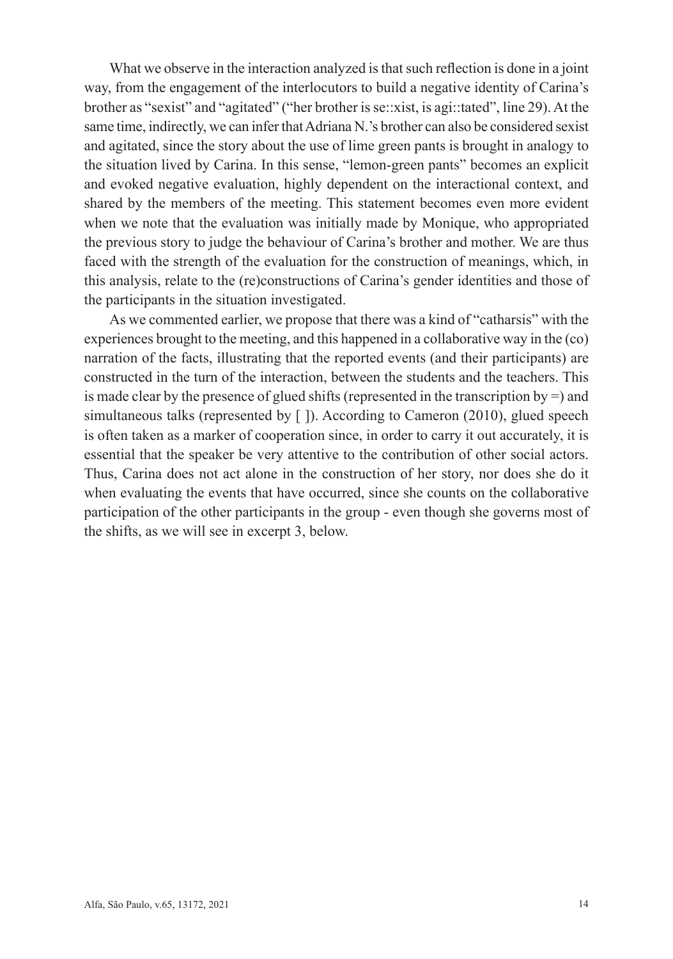What we observe in the interaction analyzed is that such reflection is done in a joint way, from the engagement of the interlocutors to build a negative identity of Carina's brother as "sexist" and "agitated" ("her brother is se::xist, is agi::tated", line 29). At the same time, indirectly, we can infer that Adriana N.'s brother can also be considered sexist and agitated, since the story about the use of lime green pants is brought in analogy to the situation lived by Carina. In this sense, "lemon-green pants" becomes an explicit and evoked negative evaluation, highly dependent on the interactional context, and shared by the members of the meeting. This statement becomes even more evident when we note that the evaluation was initially made by Monique, who appropriated the previous story to judge the behaviour of Carina's brother and mother. We are thus faced with the strength of the evaluation for the construction of meanings, which, in this analysis, relate to the (re)constructions of Carina's gender identities and those of the participants in the situation investigated.

As we commented earlier, we propose that there was a kind of "catharsis" with the experiences brought to the meeting, and this happened in a collaborative way in the (co) narration of the facts, illustrating that the reported events (and their participants) are constructed in the turn of the interaction, between the students and the teachers. This is made clear by the presence of glued shifts (represented in the transcription by  $=$ ) and simultaneous talks (represented by [ ]). According to Cameron (2010), glued speech is often taken as a marker of cooperation since, in order to carry it out accurately, it is essential that the speaker be very attentive to the contribution of other social actors. Thus, Carina does not act alone in the construction of her story, nor does she do it when evaluating the events that have occurred, since she counts on the collaborative participation of the other participants in the group - even though she governs most of the shifts, as we will see in excerpt 3, below.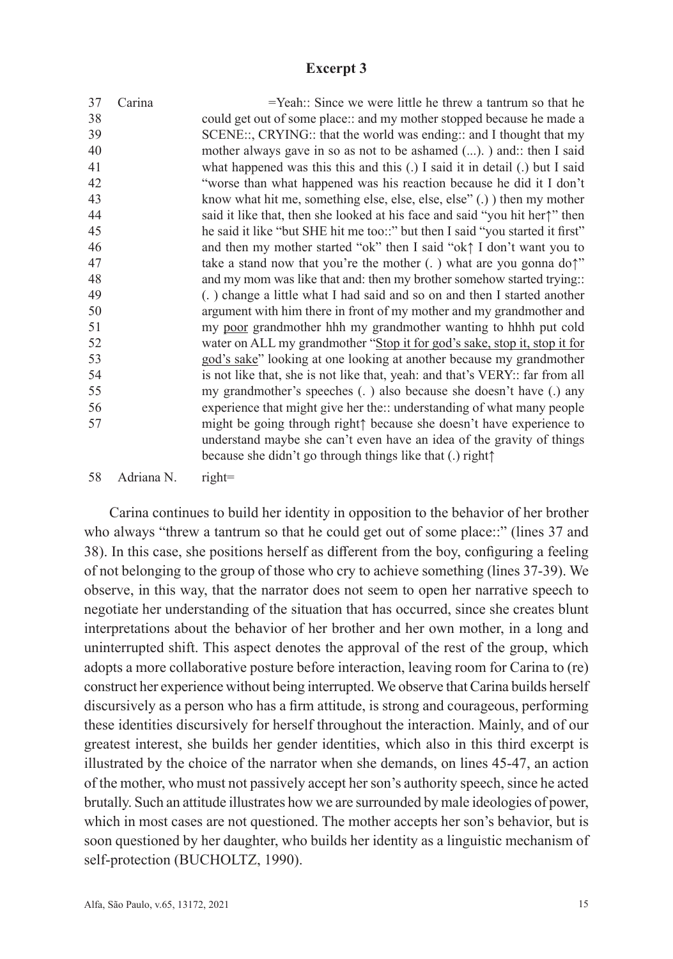## **Excerpt 3**

| 37 | Carina     | $=$ Yeah:: Since we were little he threw a tantrum so that he                                                                                                                                                                                        |
|----|------------|------------------------------------------------------------------------------------------------------------------------------------------------------------------------------------------------------------------------------------------------------|
| 38 |            | could get out of some place:: and my mother stopped because he made a                                                                                                                                                                                |
| 39 |            | SCENE::, CRYING:: that the world was ending:: and I thought that my                                                                                                                                                                                  |
| 40 |            | mother always gave in so as not to be ashamed (). ) and: then I said                                                                                                                                                                                 |
| 41 |            | what happened was this this and this $(.)$ I said it in detail $(.)$ but I said                                                                                                                                                                      |
| 42 |            | "worse than what happened was his reaction because he did it I don't                                                                                                                                                                                 |
| 43 |            | know what hit me, something else, else, else, else" (.) then my mother                                                                                                                                                                               |
| 44 |            | said it like that, then she looked at his face and said "you hit her" then                                                                                                                                                                           |
| 45 |            | he said it like "but SHE hit me too::" but then I said "you started it first"                                                                                                                                                                        |
| 46 |            | and then my mother started "ok" then I said "ok $\uparrow$ I don't want you to                                                                                                                                                                       |
| 47 |            | take a stand now that you're the mother $(.)$ what are you gonna do?"                                                                                                                                                                                |
| 48 |            | and my mom was like that and: then my brother somehow started trying::                                                                                                                                                                               |
| 49 |            | (.) change a little what I had said and so on and then I started another                                                                                                                                                                             |
| 50 |            | argument with him there in front of my mother and my grandmother and                                                                                                                                                                                 |
| 51 |            | my poor grandmother hh my grandmother wanting to hhh put cold                                                                                                                                                                                        |
| 52 |            | water on ALL my grandmother "Stop it for god's sake, stop it, stop it for                                                                                                                                                                            |
| 53 |            | god's sake" looking at one looking at another because my grandmother                                                                                                                                                                                 |
| 54 |            | is not like that, she is not like that, yeah: and that's VERY:: far from all                                                                                                                                                                         |
| 55 |            | my grandmother's speeches (.) also because she doesn't have (.) any                                                                                                                                                                                  |
| 56 |            | experience that might give her the:: understanding of what many people                                                                                                                                                                               |
| 57 |            | might be going through right <sup><math>\uparrow</math></sup> because she doesn't have experience to<br>understand maybe she can't even have an idea of the gravity of things<br>because she didn't go through things like that (.) right $\uparrow$ |
|    |            |                                                                                                                                                                                                                                                      |
| 58 | Adriana N. | $right=$                                                                                                                                                                                                                                             |

Carina continues to build her identity in opposition to the behavior of her brother who always "threw a tantrum so that he could get out of some place::" (lines 37 and 38). In this case, she positions herself as different from the boy, configuring a feeling of not belonging to the group of those who cry to achieve something (lines 37-39). We observe, in this way, that the narrator does not seem to open her narrative speech to negotiate her understanding of the situation that has occurred, since she creates blunt interpretations about the behavior of her brother and her own mother, in a long and uninterrupted shift. This aspect denotes the approval of the rest of the group, which adopts a more collaborative posture before interaction, leaving room for Carina to (re) construct her experience without being interrupted. We observe that Carina builds herself discursively as a person who has a firm attitude, is strong and courageous, performing these identities discursively for herself throughout the interaction. Mainly, and of our greatest interest, she builds her gender identities, which also in this third excerpt is illustrated by the choice of the narrator when she demands, on lines 45-47, an action of the mother, who must not passively accept her son's authority speech, since he acted brutally. Such an attitude illustrates how we are surrounded by male ideologies of power, which in most cases are not questioned. The mother accepts her son's behavior, but is soon questioned by her daughter, who builds her identity as a linguistic mechanism of self-protection (BUCHOLTZ, 1990).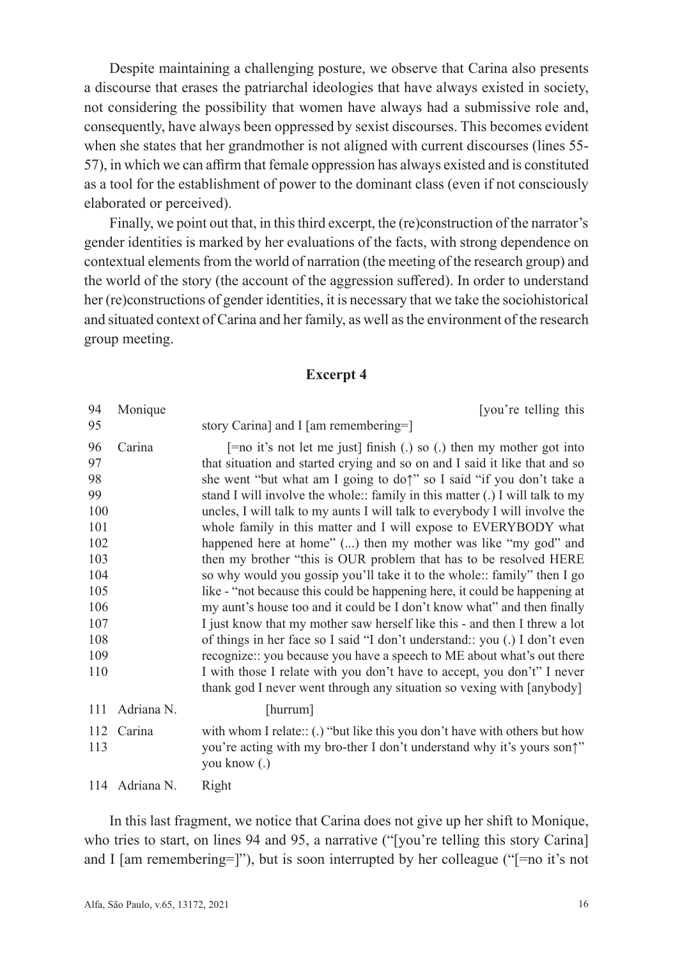Despite maintaining a challenging posture, we observe that Carina also presents a discourse that erases the patriarchal ideologies that have always existed in society, not considering the possibility that women have always had a submissive role and, consequently, have always been oppressed by sexist discourses. This becomes evident when she states that her grandmother is not aligned with current discourses (lines 55- 57), in which we can affirm that female oppression has always existed and is constituted as a tool for the establishment of power to the dominant class (even if not consciously elaborated or perceived).

Finally, we point out that, in this third excerpt, the (re)construction of the narrator's gender identities is marked by her evaluations of the facts, with strong dependence on contextual elements from the world of narration (the meeting of the research group) and the world of the story (the account of the aggression suffered). In order to understand her (re)constructions of gender identities, it is necessary that we take the sociohistorical and situated context of Carina and her family, as well as the environment of the research group meeting.

### **Excerpt 4**

| 94                                                                                                | Monique        | [you're telling this                                                                                                                                                                                                                                                                                                                                                                                                                                                                                                                                                                                                                                                                                                                                                                                                                                                                                                                                                                                                                                                                                                                                          |
|---------------------------------------------------------------------------------------------------|----------------|---------------------------------------------------------------------------------------------------------------------------------------------------------------------------------------------------------------------------------------------------------------------------------------------------------------------------------------------------------------------------------------------------------------------------------------------------------------------------------------------------------------------------------------------------------------------------------------------------------------------------------------------------------------------------------------------------------------------------------------------------------------------------------------------------------------------------------------------------------------------------------------------------------------------------------------------------------------------------------------------------------------------------------------------------------------------------------------------------------------------------------------------------------------|
| 95                                                                                                |                | story Carina] and I [am remembering=]                                                                                                                                                                                                                                                                                                                                                                                                                                                                                                                                                                                                                                                                                                                                                                                                                                                                                                                                                                                                                                                                                                                         |
| 96<br>97<br>98<br>99<br>100<br>101<br>102<br>103<br>104<br>105<br>106<br>107<br>108<br>109<br>110 | Carina         | $\lceil$ =no it's not let me just finish (.) so (.) then my mother got into<br>that situation and started crying and so on and I said it like that and so<br>she went "but what am I going to do" so I said "if you don't take a<br>stand I will involve the whole:: family in this matter (.) I will talk to my<br>uncles, I will talk to my aunts I will talk to everybody I will involve the<br>whole family in this matter and I will expose to EVERYBODY what<br>happened here at home" () then my mother was like "my god" and<br>then my brother "this is OUR problem that has to be resolved HERE<br>so why would you gossip you'll take it to the whole:: family" then I go<br>like - "not because this could be happening here, it could be happening at<br>my aunt's house too and it could be I don't know what" and then finally<br>I just know that my mother saw herself like this - and then I threw a lot<br>of things in her face so I said "I don't understand:: you (.) I don't even<br>recognize:: you because you have a speech to ME about what's out there<br>I with those I relate with you don't have to accept, you don't" I never |
|                                                                                                   |                | thank god I never went through any situation so vexing with [anybody]                                                                                                                                                                                                                                                                                                                                                                                                                                                                                                                                                                                                                                                                                                                                                                                                                                                                                                                                                                                                                                                                                         |
| 111                                                                                               | Adriana N.     | [hurrum]                                                                                                                                                                                                                                                                                                                                                                                                                                                                                                                                                                                                                                                                                                                                                                                                                                                                                                                                                                                                                                                                                                                                                      |
| 112<br>113                                                                                        | Carina         | with whom I relate:: (.) "but like this you don't have with others but how<br>you're acting with my bro-ther I don't understand why it's yours son?"<br>you know (.)                                                                                                                                                                                                                                                                                                                                                                                                                                                                                                                                                                                                                                                                                                                                                                                                                                                                                                                                                                                          |
|                                                                                                   | 114 Adriana N. | Right                                                                                                                                                                                                                                                                                                                                                                                                                                                                                                                                                                                                                                                                                                                                                                                                                                                                                                                                                                                                                                                                                                                                                         |

In this last fragment, we notice that Carina does not give up her shift to Monique, who tries to start, on lines 94 and 95, a narrative ("[you're telling this story Carina] and I [am remembering=]"), but is soon interrupted by her colleague (" $=$ no it's not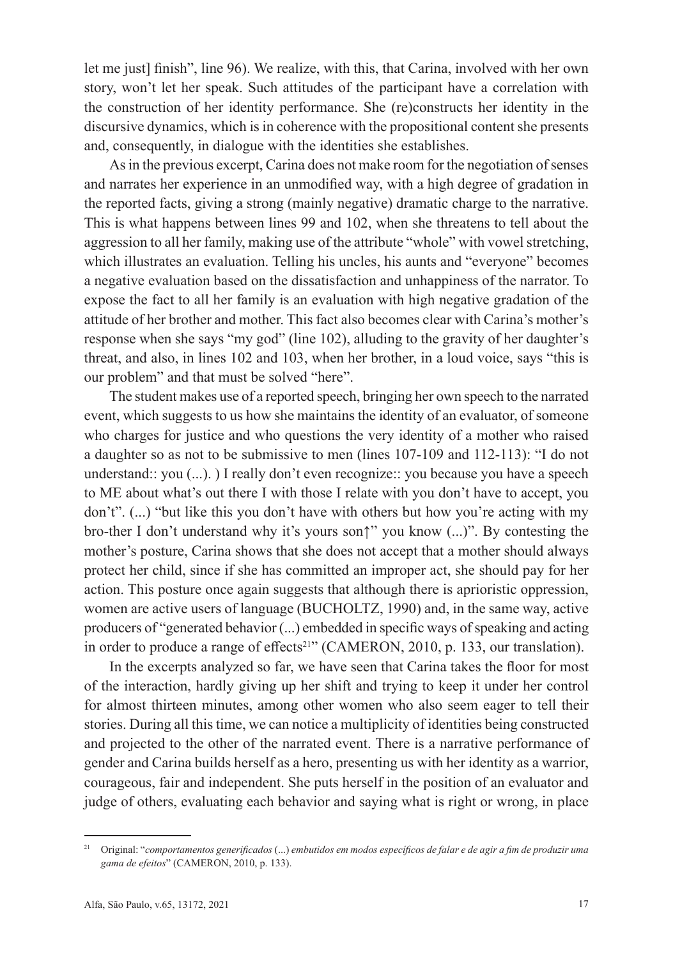let me just] finish", line 96). We realize, with this, that Carina, involved with her own story, won't let her speak. Such attitudes of the participant have a correlation with the construction of her identity performance. She (re)constructs her identity in the discursive dynamics, which is in coherence with the propositional content she presents and, consequently, in dialogue with the identities she establishes.

As in the previous excerpt, Carina does not make room for the negotiation of senses and narrates her experience in an unmodified way, with a high degree of gradation in the reported facts, giving a strong (mainly negative) dramatic charge to the narrative. This is what happens between lines 99 and 102, when she threatens to tell about the aggression to all her family, making use of the attribute "whole" with vowel stretching, which illustrates an evaluation. Telling his uncles, his aunts and "everyone" becomes a negative evaluation based on the dissatisfaction and unhappiness of the narrator. To expose the fact to all her family is an evaluation with high negative gradation of the attitude of her brother and mother. This fact also becomes clear with Carina's mother's response when she says "my god" (line 102), alluding to the gravity of her daughter's threat, and also, in lines 102 and 103, when her brother, in a loud voice, says "this is our problem" and that must be solved "here".

The student makes use of a reported speech, bringing her own speech to the narrated event, which suggests to us how she maintains the identity of an evaluator, of someone who charges for justice and who questions the very identity of a mother who raised a daughter so as not to be submissive to men (lines 107-109 and 112-113): "I do not understand:: you (...). ) I really don't even recognize:: you because you have a speech to ME about what's out there I with those I relate with you don't have to accept, you don't". (...) "but like this you don't have with others but how you're acting with my bro-ther I don't understand why it's yours son↑" you know (...)". By contesting the mother's posture, Carina shows that she does not accept that a mother should always protect her child, since if she has committed an improper act, she should pay for her action. This posture once again suggests that although there is aprioristic oppression, women are active users of language (BUCHOLTZ, 1990) and, in the same way, active producers of "generated behavior (...) embedded in specific ways of speaking and acting in order to produce a range of effects<sup>21"</sup> (CAMERON, 2010, p. 133, our translation).

In the excerpts analyzed so far, we have seen that Carina takes the floor for most of the interaction, hardly giving up her shift and trying to keep it under her control for almost thirteen minutes, among other women who also seem eager to tell their stories. During all this time, we can notice a multiplicity of identities being constructed and projected to the other of the narrated event. There is a narrative performance of gender and Carina builds herself as a hero, presenting us with her identity as a warrior, courageous, fair and independent. She puts herself in the position of an evaluator and judge of others, evaluating each behavior and saying what is right or wrong, in place

<sup>21</sup> Original: "*comportamentos generificados* (...) *embutidos em modos específicos de falar e de agir a fim de produzir uma gama de efeitos*" (CAMERON, 2010, p. 133).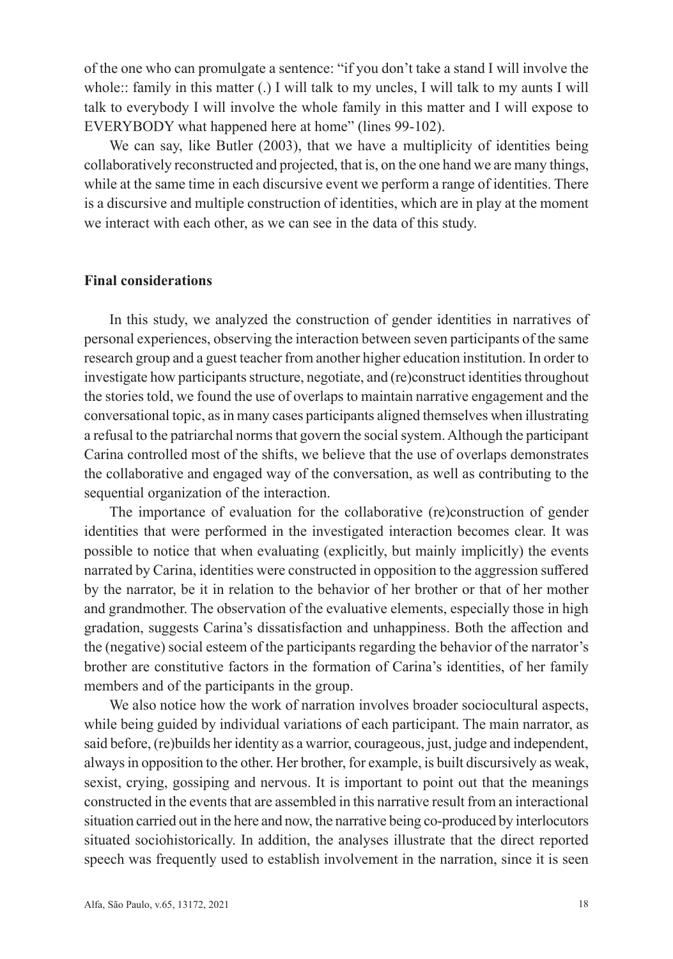of the one who can promulgate a sentence: "if you don't take a stand I will involve the whole:: family in this matter (.) I will talk to my uncles, I will talk to my aunts I will talk to everybody I will involve the whole family in this matter and I will expose to EVERYBODY what happened here at home" (lines 99-102).

We can say, like Butler (2003), that we have a multiplicity of identities being collaboratively reconstructed and projected, that is, on the one hand we are many things, while at the same time in each discursive event we perform a range of identities. There is a discursive and multiple construction of identities, which are in play at the moment we interact with each other, as we can see in the data of this study.

### **Final considerations**

In this study, we analyzed the construction of gender identities in narratives of personal experiences, observing the interaction between seven participants of the same research group and a guest teacher from another higher education institution. In order to investigate how participants structure, negotiate, and (re)construct identities throughout the stories told, we found the use of overlaps to maintain narrative engagement and the conversational topic, as in many cases participants aligned themselves when illustrating a refusal to the patriarchal norms that govern the social system. Although the participant Carina controlled most of the shifts, we believe that the use of overlaps demonstrates the collaborative and engaged way of the conversation, as well as contributing to the sequential organization of the interaction.

The importance of evaluation for the collaborative (re)construction of gender identities that were performed in the investigated interaction becomes clear. It was possible to notice that when evaluating (explicitly, but mainly implicitly) the events narrated by Carina, identities were constructed in opposition to the aggression suffered by the narrator, be it in relation to the behavior of her brother or that of her mother and grandmother. The observation of the evaluative elements, especially those in high gradation, suggests Carina's dissatisfaction and unhappiness. Both the affection and the (negative) social esteem of the participants regarding the behavior of the narrator's brother are constitutive factors in the formation of Carina's identities, of her family members and of the participants in the group.

We also notice how the work of narration involves broader sociocultural aspects, while being guided by individual variations of each participant. The main narrator, as said before, (re)builds her identity as a warrior, courageous, just, judge and independent, always in opposition to the other. Her brother, for example, is built discursively as weak, sexist, crying, gossiping and nervous. It is important to point out that the meanings constructed in the events that are assembled in this narrative result from an interactional situation carried out in the here and now, the narrative being co-produced by interlocutors situated sociohistorically. In addition, the analyses illustrate that the direct reported speech was frequently used to establish involvement in the narration, since it is seen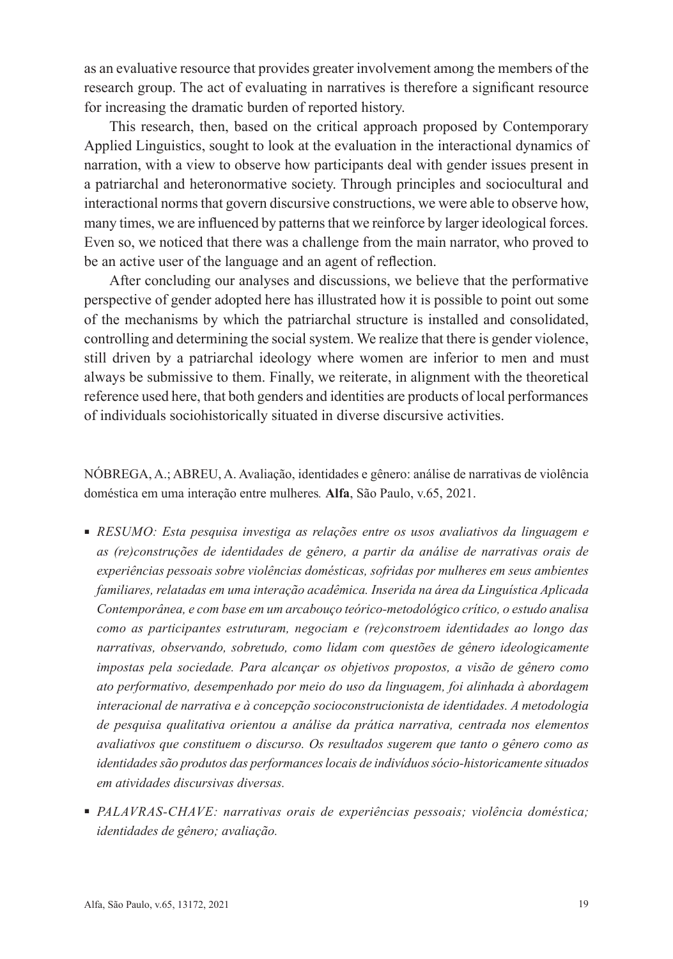as an evaluative resource that provides greater involvement among the members of the research group. The act of evaluating in narratives is therefore a significant resource for increasing the dramatic burden of reported history.

This research, then, based on the critical approach proposed by Contemporary Applied Linguistics, sought to look at the evaluation in the interactional dynamics of narration, with a view to observe how participants deal with gender issues present in a patriarchal and heteronormative society. Through principles and sociocultural and interactional norms that govern discursive constructions, we were able to observe how, many times, we are influenced by patterns that we reinforce by larger ideological forces. Even so, we noticed that there was a challenge from the main narrator, who proved to be an active user of the language and an agent of reflection.

After concluding our analyses and discussions, we believe that the performative perspective of gender adopted here has illustrated how it is possible to point out some of the mechanisms by which the patriarchal structure is installed and consolidated, controlling and determining the social system. We realize that there is gender violence, still driven by a patriarchal ideology where women are inferior to men and must always be submissive to them. Finally, we reiterate, in alignment with the theoretical reference used here, that both genders and identities are products of local performances of individuals sociohistorically situated in diverse discursive activities.

NÓBREGA, A.; ABREU, A. Avaliação, identidades e gênero: análise de narrativas de violência doméstica em uma interação entre mulheres*.* **Alfa**, São Paulo, v.65, 2021.

- *RESUMO: Esta pesquisa investiga as relações entre os usos avaliativos da linguagem e as (re)construções de identidades de gênero, a partir da análise de narrativas orais de experiências pessoais sobre violências domésticas, sofridas por mulheres em seus ambientes familiares, relatadas em uma interação acadêmica. Inserida na área da Linguística Aplicada Contemporânea, e com base em um arcabouço teórico-metodológico crítico, o estudo analisa como as participantes estruturam, negociam e (re)constroem identidades ao longo das narrativas, observando, sobretudo, como lidam com questões de gênero ideologicamente impostas pela sociedade. Para alcançar os objetivos propostos, a visão de gênero como ato performativo, desempenhado por meio do uso da linguagem, foi alinhada à abordagem interacional de narrativa e à concepção socioconstrucionista de identidades. A metodologia de pesquisa qualitativa orientou a análise da prática narrativa, centrada nos elementos avaliativos que constituem o discurso. Os resultados sugerem que tanto o gênero como as identidades são produtos das performances locais de indivíduos sócio-historicamente situados em atividades discursivas diversas.*
- *PALAVRAS-CHAVE: narrativas orais de experiências pessoais; violência doméstica; identidades de gênero; avaliação.*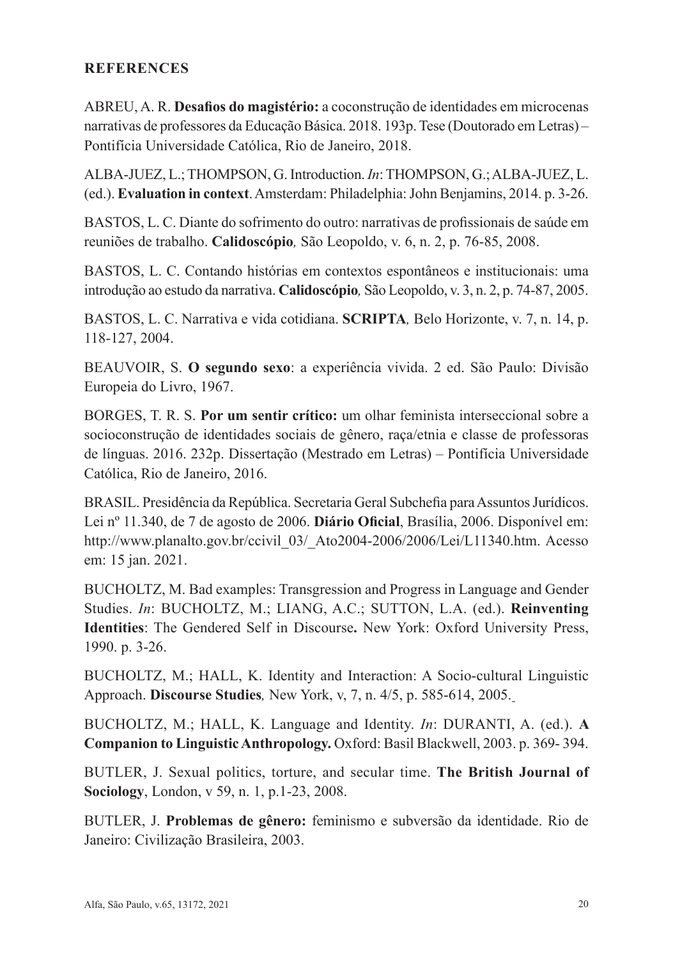## **REFERENCES**

ABREU, A. R. **Desafios do magistério:** a coconstrução de identidades em microcenas narrativas de professores da Educação Básica. 2018. 193p. Tese (Doutorado em Letras) – Pontifícia Universidade Católica, Rio de Janeiro, 2018.

ALBA-JUEZ, L.; THOMPSON, G. Introduction. *In*: THOMPSON, G.; ALBA-JUEZ, L. (ed.). **Evaluation in context**. Amsterdam: Philadelphia: John Benjamins, 2014. p. 3-26.

BASTOS, L. C. Diante do sofrimento do outro: narrativas de profissionais de saúde em reuniões de trabalho. **Calidoscópio***,* São Leopoldo, v. 6, n. 2, p. 76-85, 2008.

BASTOS, L. C. Contando histórias em contextos espontâneos e institucionais: uma introdução ao estudo da narrativa. **Calidoscópio***,* São Leopoldo, v. 3, n. 2, p. 74-87, 2005.

BASTOS, L. C. Narrativa e vida cotidiana. **SCRIPTA***,* Belo Horizonte, v. 7, n. 14, p. 118-127, 2004.

BEAUVOIR, S. **O segundo sexo**: a experiência vivida. 2 ed. São Paulo: Divisão Europeia do Livro, 1967.

BORGES, T. R. S. **Por um sentir crítico:** um olhar feminista interseccional sobre a socioconstrução de identidades sociais de gênero, raça/etnia e classe de professoras de línguas. 2016. 232p. Dissertação (Mestrado em Letras) – Pontifícia Universidade Católica, Rio de Janeiro, 2016.

BRASIL. Presidência da República. Secretaria Geral Subchefia para Assuntos Jurídicos. Lei nº 11.340, de 7 de agosto de 2006. **Diário Oficial**, Brasília, 2006. Disponível em: http://www.planalto.gov.br/ccivil\_03/\_Ato2004-2006/2006/Lei/L11340.htm. Acesso em: 15 jan. 2021.

BUCHOLTZ, M. Bad examples: Transgression and Progress in Language and Gender Studies. *In*: BUCHOLTZ, M.; LIANG, A.C.; SUTTON, L.A. (ed.). **Reinventing Identities**: The Gendered Self in Discourse**.** New York: Oxford University Press, 1990. p. 3-26.

BUCHOLTZ, M.; HALL, K. Identity and Interaction: A Socio-cultural Linguistic Approach. **Discourse Studies***,* New York, v, 7, n. 4/5, p. 585-614, 2005.

BUCHOLTZ, M.; HALL, K. Language and Identity. *In*: DURANTI, A. (ed.). **A Companion to Linguistic Anthropology.** Oxford: Basil Blackwell, 2003. p. 369- 394.

BUTLER, J. Sexual politics, torture, and secular time. **The British Journal of Sociology**, London, v 59, n. 1, p.1-23, 2008.

BUTLER, J. **Problemas de gênero:** feminismo e subversão da identidade. Rio de Janeiro: Civilização Brasileira, 2003.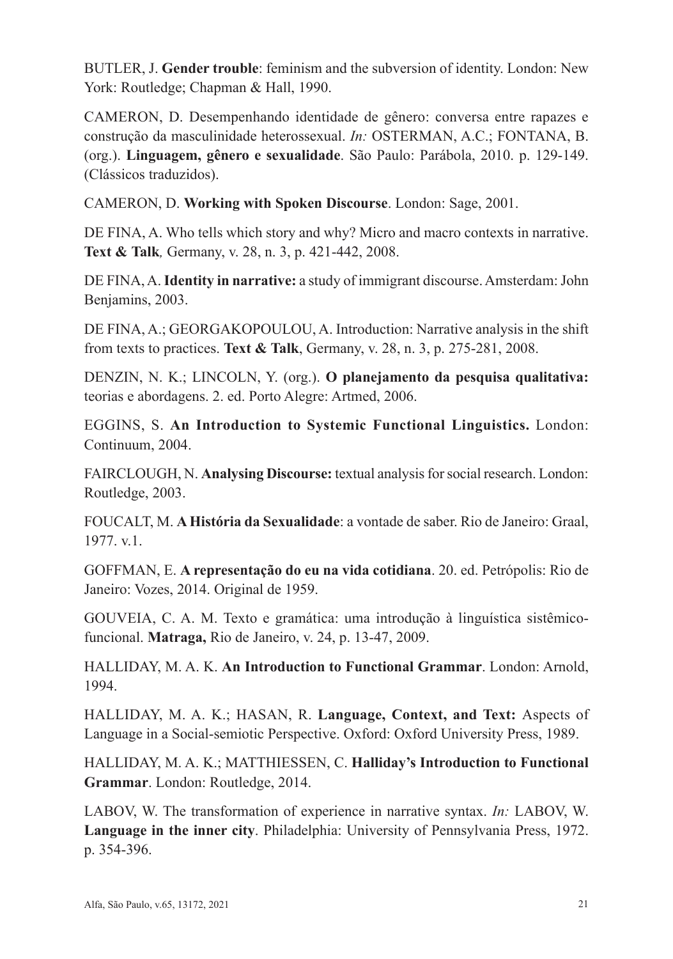BUTLER, J. **Gender trouble**: feminism and the subversion of identity. London: New York: Routledge; Chapman & Hall, 1990.

CAMERON, D. Desempenhando identidade de gênero: conversa entre rapazes e construção da masculinidade heterossexual. *In:* OSTERMAN, A.C.; FONTANA, B. (org.). **Linguagem, gênero e sexualidade**. São Paulo: Parábola, 2010. p. 129-149. (Clássicos traduzidos).

CAMERON, D. **Working with Spoken Discourse**. London: Sage, 2001.

DE FINA, A. Who tells which story and why? Micro and macro contexts in narrative. **Text & Talk***,* Germany, v. 28, n. 3, p. 421-442, 2008.

DE FINA, A. **Identity in narrative:** a study of immigrant discourse. Amsterdam: John Benjamins, 2003.

DE FINA, A.; GEORGAKOPOULOU, A. Introduction: Narrative analysis in the shift from texts to practices. **Text & Talk**, Germany, v. 28, n. 3, p. 275-281, 2008.

DENZIN, N. K.; LINCOLN, Y. (org.). **O planejamento da pesquisa qualitativa:**  teorias e abordagens. 2. ed. Porto Alegre: Artmed, 2006.

EGGINS, S. **An Introduction to Systemic Functional Linguistics.** London: Continuum, 2004.

FAIRCLOUGH, N. **Analysing Discourse:** textual analysis for social research. London: Routledge, 2003.

FOUCALT, M. **A História da Sexualidade**: a vontade de saber. Rio de Janeiro: Graal, 1977. v.1.

GOFFMAN, E. **A representação do eu na vida cotidiana**. 20. ed. Petrópolis: Rio de Janeiro: Vozes, 2014. Original de 1959.

GOUVEIA, C. A. M. Texto e gramática: uma introdução à linguística sistêmicofuncional. **Matraga,** Rio de Janeiro, v. 24, p. 13-47, 2009.

HALLIDAY, M. A. K. **An Introduction to Functional Grammar**. London: Arnold, 1994.

HALLIDAY, M. A. K.; HASAN, R. **Language, Context, and Text:** Aspects of Language in a Social-semiotic Perspective. Oxford: Oxford University Press, 1989.

HALLIDAY, M. A. K.; MATTHIESSEN, C. **Halliday's Introduction to Functional Grammar**. London: Routledge, 2014.

LABOV, W. The transformation of experience in narrative syntax. *In:* LABOV, W. **Language in the inner city**. Philadelphia: University of Pennsylvania Press, 1972. p. 354-396.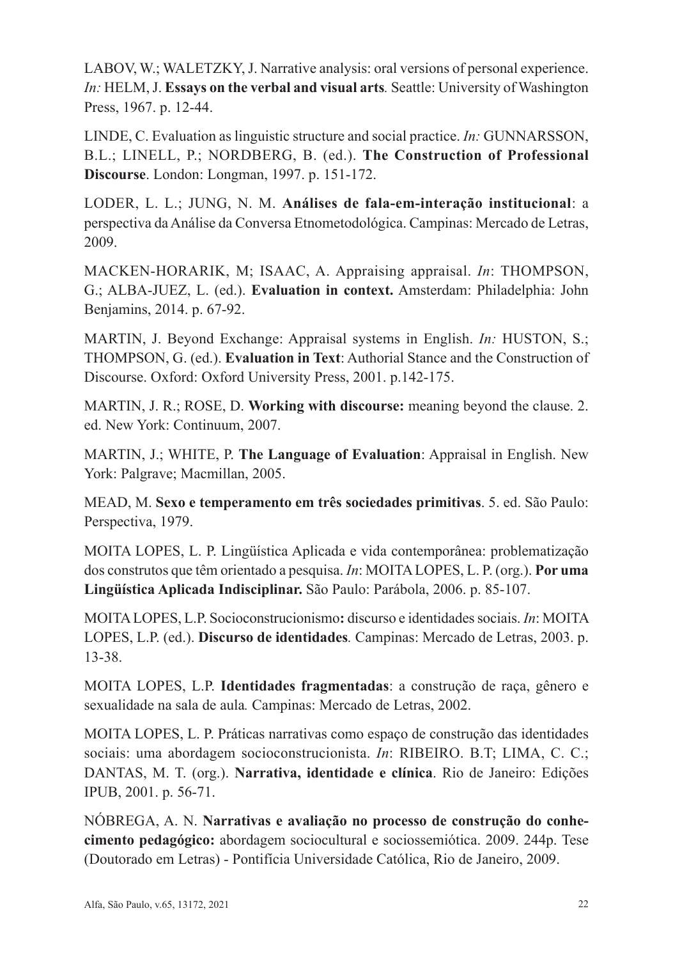LABOV, W.; WALETZKY, J. Narrative analysis: oral versions of personal experience. *In:* HELM, J. **Essays on the verbal and visual arts***.* Seattle: University of Washington Press, 1967. p. 12-44.

LINDE, C. Evaluation as linguistic structure and social practice. *In:* GUNNARSSON, B.L.; LINELL, P.; NORDBERG, B. (ed.). **The Construction of Professional Discourse**. London: Longman, 1997. p. 151-172.

LODER, L. L.; JUNG, N. M. **Análises de fala-em-interação institucional**: a perspectiva da Análise da Conversa Etnometodológica. Campinas: Mercado de Letras, 2009.

MACKEN-HORARIK, M; ISAAC, A. Appraising appraisal. *In*: THOMPSON, G.; ALBA-JUEZ, L. (ed.). **Evaluation in context.** Amsterdam: Philadelphia: John Benjamins, 2014. p. 67-92.

MARTIN, J. Beyond Exchange: Appraisal systems in English. *In:* HUSTON, S.; THOMPSON, G. (ed.). **Evaluation in Text**: Authorial Stance and the Construction of Discourse. Oxford: Oxford University Press, 2001. p.142-175.

MARTIN, J. R.; ROSE, D. **Working with discourse:** meaning beyond the clause. 2. ed. New York: Continuum, 2007.

MARTIN, J.; WHITE, P. **The Language of Evaluation**: Appraisal in English. New York: Palgrave; Macmillan, 2005.

MEAD, M. **Sexo e temperamento em três sociedades primitivas**. 5. ed. São Paulo: Perspectiva, 1979.

MOITA LOPES, L. P. Lingüística Aplicada e vida contemporânea: problematização dos construtos que têm orientado a pesquisa. *In*: MOITA LOPES, L. P. (org.). **Por uma Lingüística Aplicada Indisciplinar.** São Paulo: Parábola, 2006. p. 85-107.

MOITA LOPES, L.P. Socioconstrucionismo**:** discurso e identidades sociais. *In*: MOITA LOPES, L.P. (ed.). **Discurso de identidades***.* Campinas: Mercado de Letras, 2003. p. 13-38.

MOITA LOPES, L.P. **Identidades fragmentadas**: a construção de raça, gênero e sexualidade na sala de aula*.* Campinas: Mercado de Letras, 2002.

MOITA LOPES, L. P. Práticas narrativas como espaço de construção das identidades sociais: uma abordagem socioconstrucionista. *In*: RIBEIRO. B.T; LIMA, C. C.; DANTAS, M. T. (org.). **Narrativa, identidade e clínica**. Rio de Janeiro: Edições IPUB, 2001. p. 56-71.

NÓBREGA, A. N. **Narrativas e avaliação no processo de construção do conhecimento pedagógico:** abordagem sociocultural e sociossemiótica. 2009. 244p. Tese (Doutorado em Letras) - Pontifícia Universidade Católica, Rio de Janeiro, 2009.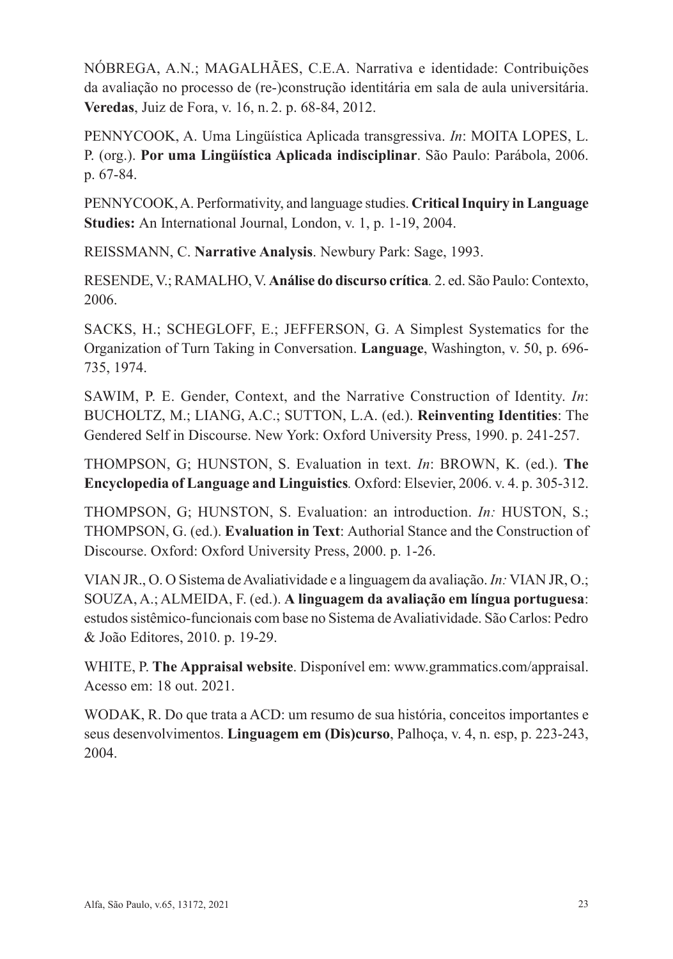NÓBREGA, A.N.; MAGALHÃES, C.E.A. Narrativa e identidade: Contribuições da avaliação no processo de (re-)construção identitária em sala de aula universitária. **Veredas**, Juiz de Fora, v. 16, n. 2. p. 68-84, 2012.

PENNYCOOK, A. Uma Lingüística Aplicada transgressiva. *In*: MOITA LOPES, L. P. (org.). **Por uma Lingüística Aplicada indisciplinar**. São Paulo: Parábola, 2006. p. 67-84.

PENNYCOOK, A. Performativity, and language studies. **Critical Inquiry in Language Studies:** An International Journal, London, v. 1, p. 1-19, 2004.

REISSMANN, C. **Narrative Analysis**. Newbury Park: Sage, 1993.

RESENDE, V.; RAMALHO, V. **Análise do discurso crítica***.* 2. ed. São Paulo: Contexto, 2006.

SACKS, H.; SCHEGLOFF, E.; JEFFERSON, G. A Simplest Systematics for the Organization of Turn Taking in Conversation. **Language**, Washington, v. 50, p. 696- 735, 1974.

SAWIM, P. E. Gender, Context, and the Narrative Construction of Identity. *In*: BUCHOLTZ, M.; LIANG, A.C.; SUTTON, L.A. (ed.). **Reinventing Identities**: The Gendered Self in Discourse. New York: Oxford University Press, 1990. p. 241-257.

THOMPSON, G; HUNSTON, S. Evaluation in text. *In*: BROWN, K. (ed.). **The Encyclopedia of Language and Linguistics***.* Oxford: Elsevier, 2006. v. 4. p. 305-312.

THOMPSON, G; HUNSTON, S. Evaluation: an introduction. *In:* HUSTON, S.; THOMPSON, G. (ed.). **Evaluation in Text**: Authorial Stance and the Construction of Discourse. Oxford: Oxford University Press, 2000. p. 1-26.

VIAN JR., O. O Sistema de Avaliatividade e a linguagem da avaliação. *In:* VIAN JR, O.; SOUZA, A.; ALMEIDA, F. (ed.). **A linguagem da avaliação em língua portuguesa**: estudos sistêmico-funcionais com base no Sistema de Avaliatividade. São Carlos: Pedro & João Editores, 2010. p. 19-29.

WHITE, P. **The Appraisal website**. Disponível em: www.grammatics.com/appraisal. Acesso em: 18 out. 2021.

WODAK, R. Do que trata a ACD: um resumo de sua história, conceitos importantes e seus desenvolvimentos. **Linguagem em (Dis)curso**, Palhoça, v. 4, n. esp, p. 223-243, 2004.